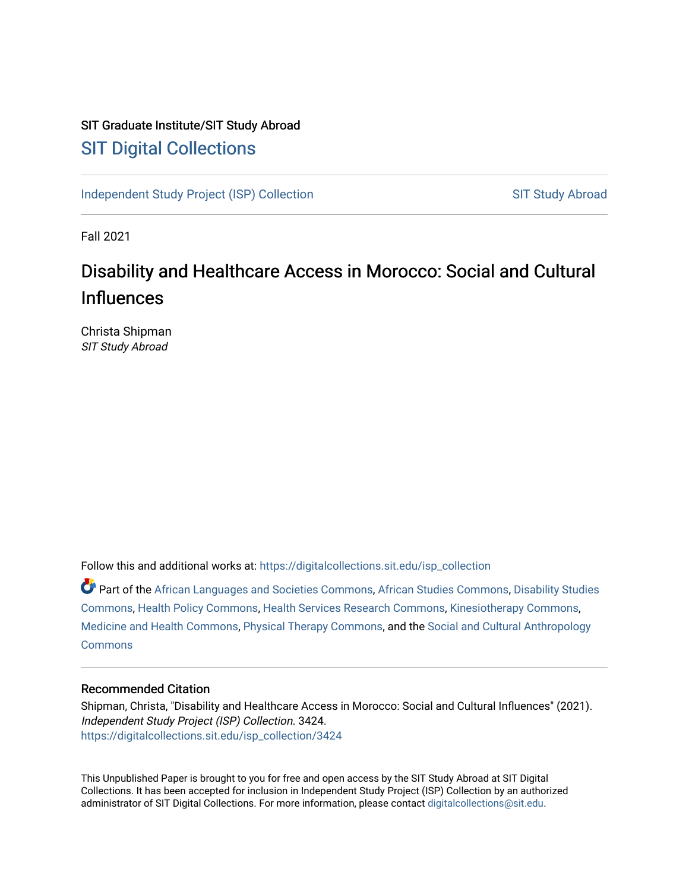# SIT Graduate Institute/SIT Study Abroad [SIT Digital Collections](https://digitalcollections.sit.edu/)

[Independent Study Project \(ISP\) Collection](https://digitalcollections.sit.edu/isp_collection) SIT Study Abroad

Fall 2021

# Disability and Healthcare Access in Morocco: Social and Cultural Influences

Christa Shipman SIT Study Abroad

Follow this and additional works at: [https://digitalcollections.sit.edu/isp\\_collection](https://digitalcollections.sit.edu/isp_collection?utm_source=digitalcollections.sit.edu%2Fisp_collection%2F3424&utm_medium=PDF&utm_campaign=PDFCoverPages) 

Part of the [African Languages and Societies Commons,](https://network.bepress.com/hgg/discipline/476?utm_source=digitalcollections.sit.edu%2Fisp_collection%2F3424&utm_medium=PDF&utm_campaign=PDFCoverPages) [African Studies Commons](https://network.bepress.com/hgg/discipline/1043?utm_source=digitalcollections.sit.edu%2Fisp_collection%2F3424&utm_medium=PDF&utm_campaign=PDFCoverPages), [Disability Studies](https://network.bepress.com/hgg/discipline/1417?utm_source=digitalcollections.sit.edu%2Fisp_collection%2F3424&utm_medium=PDF&utm_campaign=PDFCoverPages)  [Commons](https://network.bepress.com/hgg/discipline/1417?utm_source=digitalcollections.sit.edu%2Fisp_collection%2F3424&utm_medium=PDF&utm_campaign=PDFCoverPages), [Health Policy Commons](https://network.bepress.com/hgg/discipline/395?utm_source=digitalcollections.sit.edu%2Fisp_collection%2F3424&utm_medium=PDF&utm_campaign=PDFCoverPages), [Health Services Research Commons,](https://network.bepress.com/hgg/discipline/816?utm_source=digitalcollections.sit.edu%2Fisp_collection%2F3424&utm_medium=PDF&utm_campaign=PDFCoverPages) [Kinesiotherapy Commons](https://network.bepress.com/hgg/discipline/757?utm_source=digitalcollections.sit.edu%2Fisp_collection%2F3424&utm_medium=PDF&utm_campaign=PDFCoverPages), [Medicine and Health Commons,](https://network.bepress.com/hgg/discipline/422?utm_source=digitalcollections.sit.edu%2Fisp_collection%2F3424&utm_medium=PDF&utm_campaign=PDFCoverPages) [Physical Therapy Commons](https://network.bepress.com/hgg/discipline/754?utm_source=digitalcollections.sit.edu%2Fisp_collection%2F3424&utm_medium=PDF&utm_campaign=PDFCoverPages), and the [Social and Cultural Anthropology](https://network.bepress.com/hgg/discipline/323?utm_source=digitalcollections.sit.edu%2Fisp_collection%2F3424&utm_medium=PDF&utm_campaign=PDFCoverPages) **[Commons](https://network.bepress.com/hgg/discipline/323?utm_source=digitalcollections.sit.edu%2Fisp_collection%2F3424&utm_medium=PDF&utm_campaign=PDFCoverPages)** 

# Recommended Citation

Shipman, Christa, "Disability and Healthcare Access in Morocco: Social and Cultural Influences" (2021). Independent Study Project (ISP) Collection. 3424. [https://digitalcollections.sit.edu/isp\\_collection/3424](https://digitalcollections.sit.edu/isp_collection/3424?utm_source=digitalcollections.sit.edu%2Fisp_collection%2F3424&utm_medium=PDF&utm_campaign=PDFCoverPages) 

This Unpublished Paper is brought to you for free and open access by the SIT Study Abroad at SIT Digital Collections. It has been accepted for inclusion in Independent Study Project (ISP) Collection by an authorized administrator of SIT Digital Collections. For more information, please contact [digitalcollections@sit.edu](mailto:digitalcollections@sit.edu).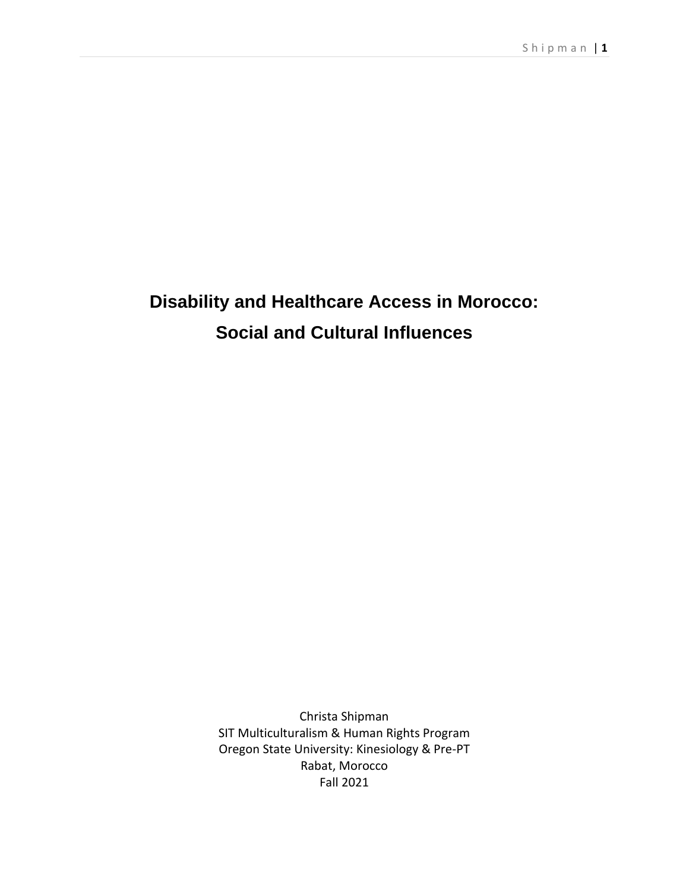# **Disability and Healthcare Access in Morocco: Social and Cultural Influences**

Christa Shipman SIT Multiculturalism & Human Rights Program Oregon State University: Kinesiology & Pre-PT Rabat, Morocco Fall 2021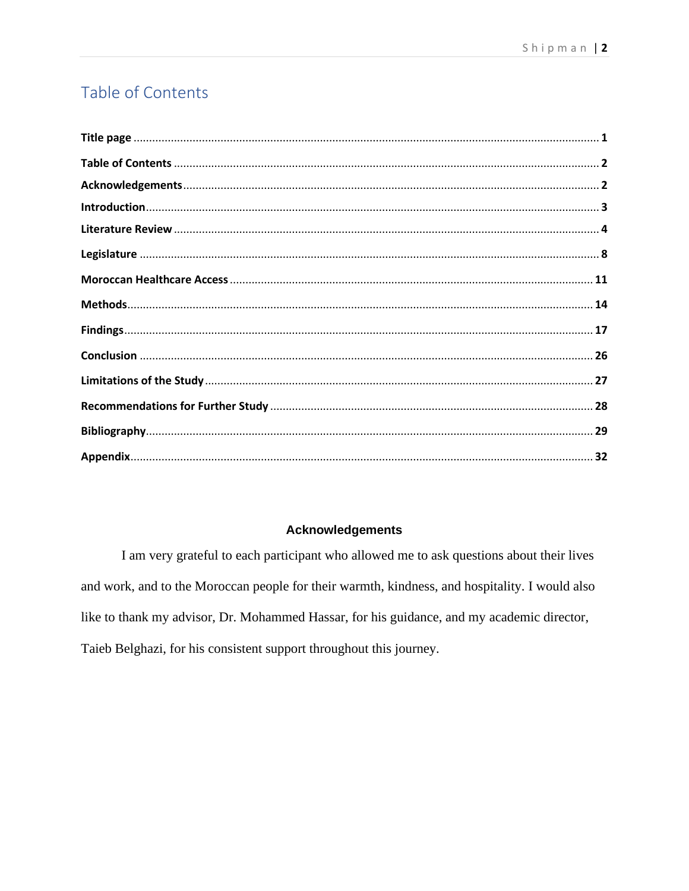# Table of Contents

# **Acknowledgements**

I am very grateful to each participant who allowed me to ask questions about their lives and work, and to the Moroccan people for their warmth, kindness, and hospitality. I would also like to thank my advisor, Dr. Mohammed Hassar, for his guidance, and my academic director, Taieb Belghazi, for his consistent support throughout this journey.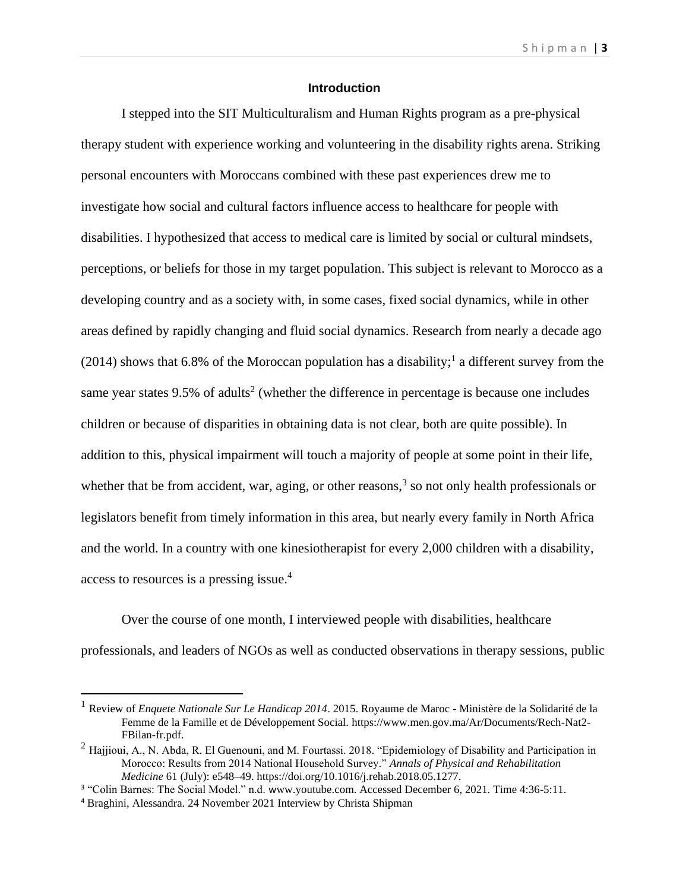# **Introduction**

I stepped into the SIT Multiculturalism and Human Rights program as a pre-physical therapy student with experience working and volunteering in the disability rights arena. Striking personal encounters with Moroccans combined with these past experiences drew me to investigate how social and cultural factors influence access to healthcare for people with disabilities. I hypothesized that access to medical care is limited by social or cultural mindsets, perceptions, or beliefs for those in my target population. This subject is relevant to Morocco as a developing country and as a society with, in some cases, fixed social dynamics, while in other areas defined by rapidly changing and fluid social dynamics. Research from nearly a decade ago  $(2014)$  shows that 6.8% of the Moroccan population has a disability;<sup>1</sup> a different survey from the same year states  $9.5\%$  of adults<sup>2</sup> (whether the difference in percentage is because one includes children or because of disparities in obtaining data is not clear, both are quite possible). In addition to this, physical impairment will touch a majority of people at some point in their life, whether that be from accident, war, aging, or other reasons,<sup>3</sup> so not only health professionals or legislators benefit from timely information in this area, but nearly every family in North Africa and the world. In a country with one kinesiotherapist for every 2,000 children with a disability, access to resources is a pressing issue.<sup>4</sup>

Over the course of one month, I interviewed people with disabilities, healthcare professionals, and leaders of NGOs as well as conducted observations in therapy sessions, public

<sup>1</sup> Review of *Enquete Nationale Sur Le Handicap 2014*. 2015. Royaume de Maroc - Ministère de la Solidarité de la Femme de la Famille et de Développement Social. https://www.men.gov.ma/Ar/Documents/Rech-Nat2- FBilan-fr.pdf.

 $2$  Hajjioui, A., N. Abda, R. El Guenouni, and M. Fourtassi. 2018. "Epidemiology of Disability and Participation in Morocco: Results from 2014 National Household Survey." *Annals of Physical and Rehabilitation Medicine* 61 (July): e548–49. https://doi.org/10.1016/j.rehab.2018.05.1277.

<sup>&</sup>lt;sup>3</sup> "Colin Barnes: The Social Model." n.d. www.youtube.com. Accessed December 6, 2021. Time 4:36-5:11.

<sup>4</sup> Braghini, Alessandra. 24 November 2021 Interview by Christa Shipman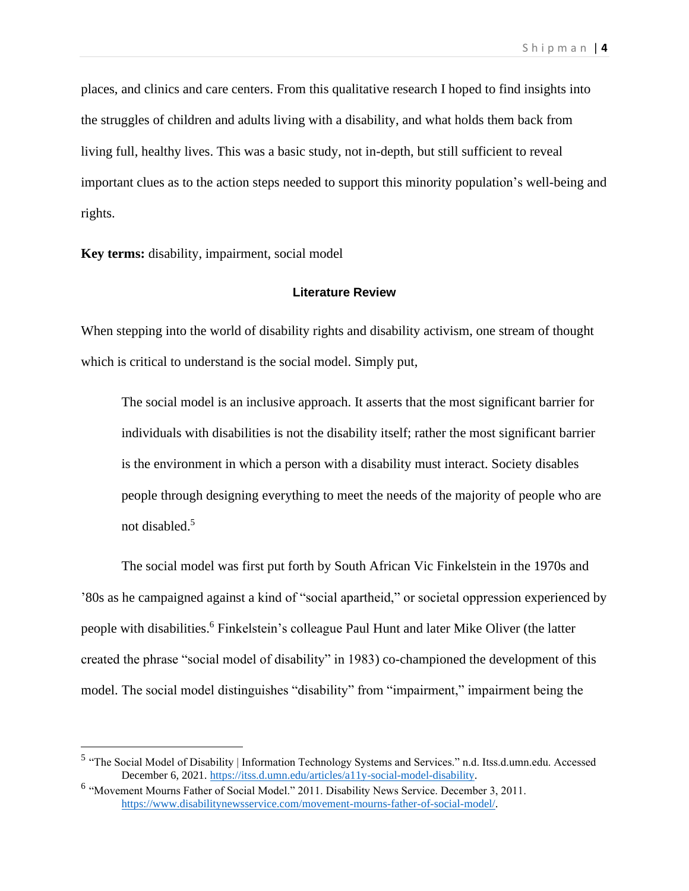places, and clinics and care centers. From this qualitative research I hoped to find insights into the struggles of children and adults living with a disability, and what holds them back from living full, healthy lives. This was a basic study, not in-depth, but still sufficient to reveal important clues as to the action steps needed to support this minority population's well-being and rights.

**Key terms:** disability, impairment, social model

#### **Literature Review**

When stepping into the world of disability rights and disability activism, one stream of thought which is critical to understand is the social model. Simply put,

The social model is an inclusive approach. It asserts that the most significant barrier for individuals with disabilities is not the disability itself; rather the most significant barrier is the environment in which a person with a disability must interact. Society disables people through designing everything to meet the needs of the majority of people who are not disabled.<sup>5</sup>

The social model was first put forth by South African Vic Finkelstein in the 1970s and '80s as he campaigned against a kind of "social apartheid," or societal oppression experienced by people with disabilities. <sup>6</sup> Finkelstein's colleague Paul Hunt and later Mike Oliver (the latter created the phrase "social model of disability" in 1983) co-championed the development of this model. The social model distinguishes "disability" from "impairment," impairment being the

<sup>&</sup>lt;sup>5</sup> "The Social Model of Disability | Information Technology Systems and Services." n.d. Itss.d.umn.edu. Accessed December 6, 2021. [https://itss.d.umn.edu/articles/a11y-social-model-disability.](https://itss.d.umn.edu/articles/a11y-social-model-disability)

<sup>&</sup>lt;sup>6</sup> "Movement Mourns Father of Social Model." 2011. Disability News Service. December 3, 2011. [https://www.disabilitynewsservice.com/movement-mourns-father-of-social-model/.](https://www.disabilitynewsservice.com/movement-mourns-father-of-social-model/)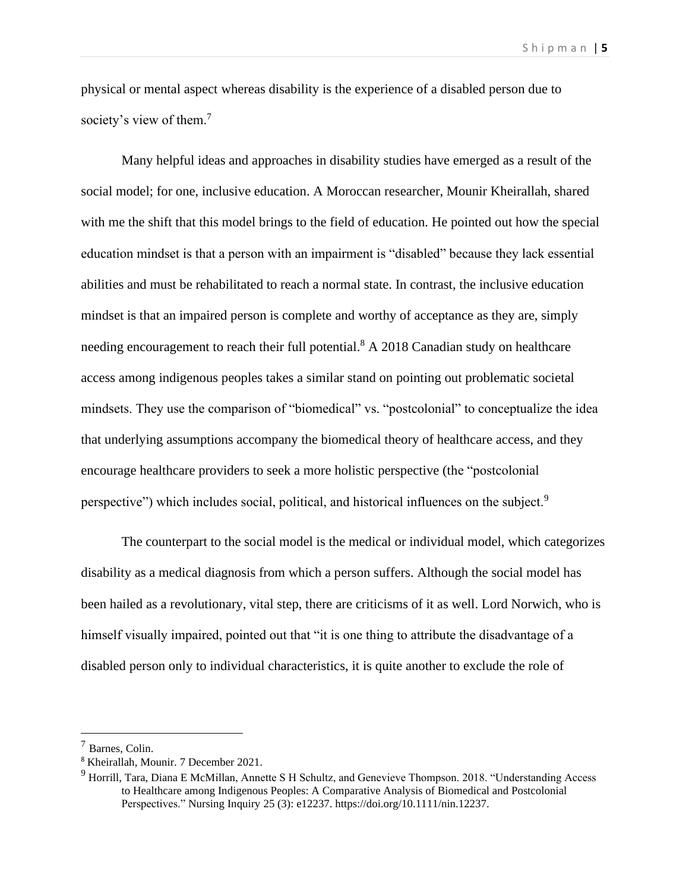physical or mental aspect whereas disability is the experience of a disabled person due to society's view of them.<sup>7</sup>

Many helpful ideas and approaches in disability studies have emerged as a result of the social model; for one, inclusive education. A Moroccan researcher, Mounir Kheirallah, shared with me the shift that this model brings to the field of education. He pointed out how the special education mindset is that a person with an impairment is "disabled" because they lack essential abilities and must be rehabilitated to reach a normal state. In contrast, the inclusive education mindset is that an impaired person is complete and worthy of acceptance as they are, simply needing encouragement to reach their full potential.<sup>8</sup> A 2018 Canadian study on healthcare access among indigenous peoples takes a similar stand on pointing out problematic societal mindsets. They use the comparison of "biomedical" vs. "postcolonial" to conceptualize the idea that underlying assumptions accompany the biomedical theory of healthcare access, and they encourage healthcare providers to seek a more holistic perspective (the "postcolonial perspective") which includes social, political, and historical influences on the subject.<sup>9</sup>

The counterpart to the social model is the medical or individual model, which categorizes disability as a medical diagnosis from which a person suffers. Although the social model has been hailed as a revolutionary, vital step, there are criticisms of it as well. Lord Norwich, who is himself visually impaired, pointed out that "it is one thing to attribute the disadvantage of a disabled person only to individual characteristics, it is quite another to exclude the role of

 $<sup>7</sup>$  Barnes, Colin.</sup>

<sup>8</sup> Kheirallah, Mounir. 7 December 2021.

<sup>&</sup>lt;sup>9</sup> Horrill, Tara, Diana E McMillan, Annette S H Schultz, and Genevieve Thompson. 2018. "Understanding Access to Healthcare among Indigenous Peoples: A Comparative Analysis of Biomedical and Postcolonial Perspectives." Nursing Inquiry 25 (3): e12237. https://doi.org/10.1111/nin.12237.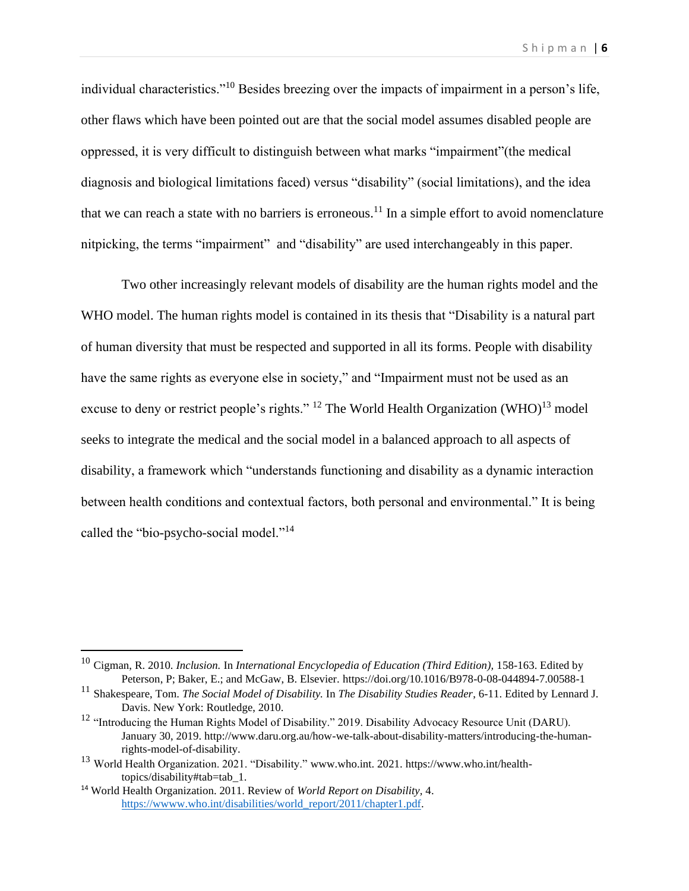individual characteristics."<sup>10</sup> Besides breezing over the impacts of impairment in a person's life, other flaws which have been pointed out are that the social model assumes disabled people are oppressed, it is very difficult to distinguish between what marks "impairment"(the medical diagnosis and biological limitations faced) versus "disability" (social limitations), and the idea that we can reach a state with no barriers is erroneous.<sup>11</sup> In a simple effort to avoid nomenclature nitpicking, the terms "impairment" and "disability" are used interchangeably in this paper.

Two other increasingly relevant models of disability are the human rights model and the WHO model. The human rights model is contained in its thesis that "Disability is a natural part of human diversity that must be respected and supported in all its forms. People with disability have the same rights as everyone else in society," and "Impairment must not be used as an excuse to deny or restrict people's rights." <sup>12</sup> The World Health Organization  $(WHO)^{13}$  model seeks to integrate the medical and the social model in a balanced approach to all aspects of disability, a framework which "understands functioning and disability as a dynamic interaction between health conditions and contextual factors, both personal and environmental." It is being called the "bio-psycho-social model."<sup>14</sup>

<sup>10</sup> Cigman, R. 2010. *Inclusion.* In *International Encyclopedia of Education (Third Edition),* 158-163. Edited by Peterson, P; Baker, E.; and McGaw, B. Elsevier. https://doi.org/10.1016/B978-0-08-044894-7.00588-1

<sup>11</sup> Shakespeare, Tom. *The Social Model of Disability.* In *The Disability Studies Reader*, 6-11. Edited by Lennard J. Davis. New York: Routledge, 2010.

<sup>&</sup>lt;sup>12</sup> "Introducing the Human Rights Model of Disability." 2019. Disability Advocacy Resource Unit (DARU). January 30, 2019. http://www.daru.org.au/how-we-talk-about-disability-matters/introducing-the-humanrights-model-of-disability.

<sup>&</sup>lt;sup>13</sup> World Health Organization. 2021. "Disability." www.who.int. 2021. https://www.who.int/healthtopics/disability#tab=tab\_1.

<sup>14</sup> World Health Organization. 2011. Review of *World Report on Disability,* 4. [https://wwww.who.int/disabilities/world\\_report/2011/chapter1.pdf.](https://wwww.who.int/disabilities/world_report/2011/chapter1.pdf)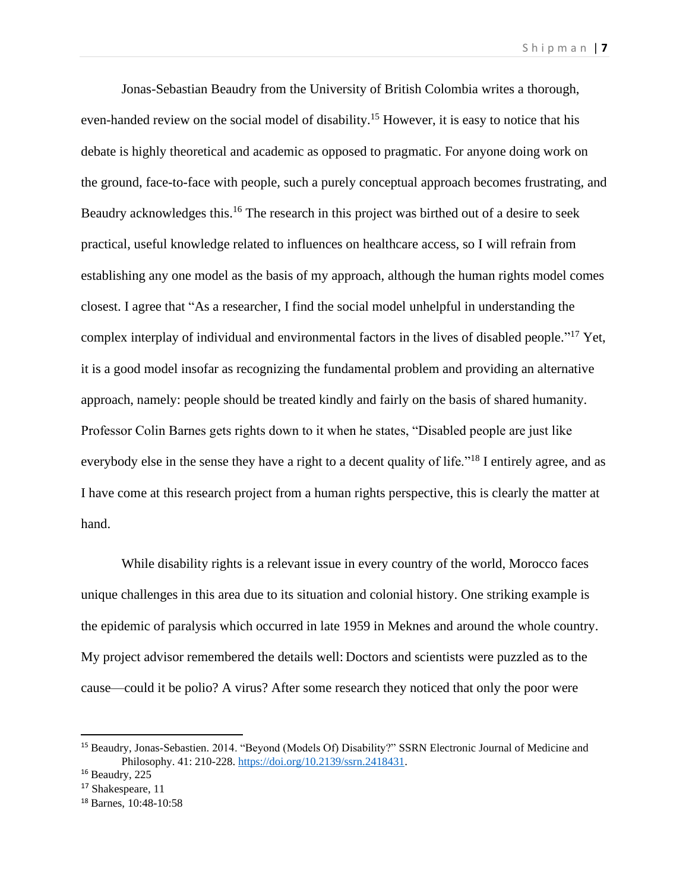Jonas-Sebastian Beaudry from the University of British Colombia writes a thorough, even-handed review on the social model of disability.<sup>15</sup> However, it is easy to notice that his debate is highly theoretical and academic as opposed to pragmatic. For anyone doing work on the ground, face-to-face with people, such a purely conceptual approach becomes frustrating, and Beaudry acknowledges this.<sup>16</sup> The research in this project was birthed out of a desire to seek practical, useful knowledge related to influences on healthcare access, so I will refrain from establishing any one model as the basis of my approach, although the human rights model comes closest. I agree that "As a researcher, I find the social model unhelpful in understanding the complex interplay of individual and environmental factors in the lives of disabled people." <sup>17</sup> Yet, it is a good model insofar as recognizing the fundamental problem and providing an alternative approach, namely: people should be treated kindly and fairly on the basis of shared humanity. Professor Colin Barnes gets rights down to it when he states, "Disabled people are just like everybody else in the sense they have a right to a decent quality of life."<sup>18</sup> I entirely agree, and as I have come at this research project from a human rights perspective, this is clearly the matter at hand.

While disability rights is a relevant issue in every country of the world, Morocco faces unique challenges in this area due to its situation and colonial history. One striking example is the epidemic of paralysis which occurred in late 1959 in Meknes and around the whole country. My project advisor remembered the details well: Doctors and scientists were puzzled as to the cause—could it be polio? A virus? After some research they noticed that only the poor were

<sup>15</sup> Beaudry, Jonas-Sebastien. 2014. "Beyond (Models Of) Disability?" SSRN Electronic Journal of Medicine and Philosophy. 41: 210-228. [https://doi.org/10.2139/ssrn.2418431.](https://doi.org/10.2139/ssrn.2418431)

<sup>&</sup>lt;sup>16</sup> Beaudry, 225

<sup>&</sup>lt;sup>17</sup> Shakespeare, 11

<sup>18</sup> Barnes, 10:48-10:58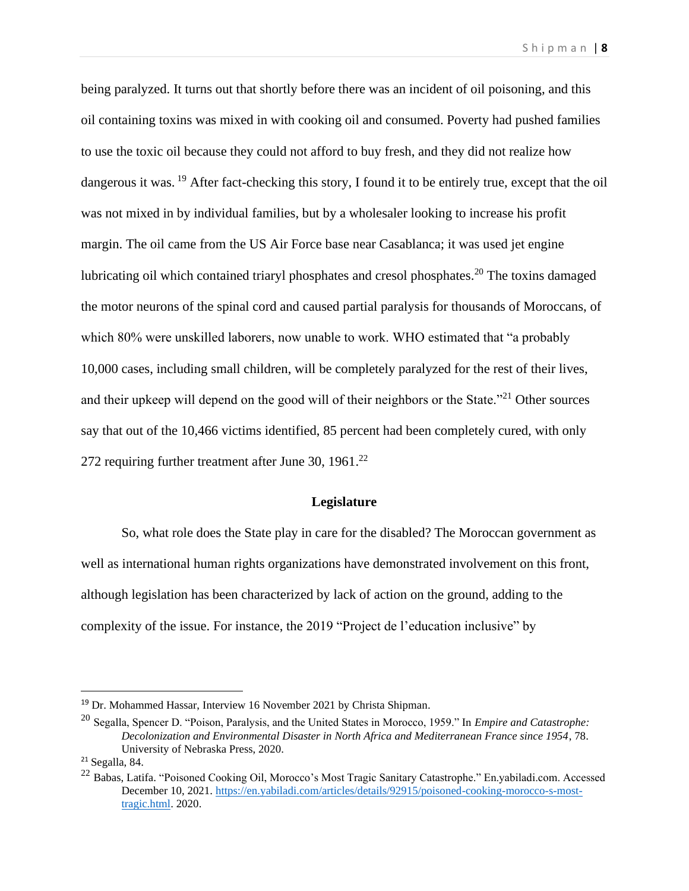being paralyzed. It turns out that shortly before there was an incident of oil poisoning, and this oil containing toxins was mixed in with cooking oil and consumed. Poverty had pushed families to use the toxic oil because they could not afford to buy fresh, and they did not realize how dangerous it was. <sup>19</sup> After fact-checking this story, I found it to be entirely true, except that the oil was not mixed in by individual families, but by a wholesaler looking to increase his profit margin. The oil came from the US Air Force base near Casablanca; it was used jet engine lubricating oil which contained triaryl phosphates and cresol phosphates. <sup>20</sup> The toxins damaged the motor neurons of the spinal cord and caused partial paralysis for thousands of Moroccans, of which 80% were unskilled laborers, now unable to work. WHO estimated that "a probably 10,000 cases, including small children, will be completely paralyzed for the rest of their lives, and their upkeep will depend on the good will of their neighbors or the State."<sup>21</sup> Other sources say that out of the 10,466 victims identified, 85 percent had been completely cured, with only 272 requiring further treatment after June 30,  $1961$ .<sup>22</sup>

# **Legislature**

So, what role does the State play in care for the disabled? The Moroccan government as well as international human rights organizations have demonstrated involvement on this front, although legislation has been characterized by lack of action on the ground, adding to the complexity of the issue. For instance, the 2019 "Project de l'education inclusive" by

<sup>19</sup> Dr. Mohammed Hassar, Interview 16 November 2021 by Christa Shipman.

<sup>20</sup> Segalla, Spencer D. "Poison, Paralysis, and the United States in Morocco, 1959." In *Empire and Catastrophe: Decolonization and Environmental Disaster in North Africa and Mediterranean France since 1954*, 78. University of Nebraska Press, 2020.

<sup>21</sup> Segalla, 84.

<sup>&</sup>lt;sup>22</sup> Babas, Latifa. "Poisoned Cooking Oil, Morocco's Most Tragic Sanitary Catastrophe." En.yabiladi.com. Accessed December 10, 2021[. https://en.yabiladi.com/articles/details/92915/poisoned-cooking-morocco-s-most](https://en.yabiladi.com/articles/details/92915/poisoned-cooking-morocco-s-most-tragic.html)[tragic.html.](https://en.yabiladi.com/articles/details/92915/poisoned-cooking-morocco-s-most-tragic.html) 2020.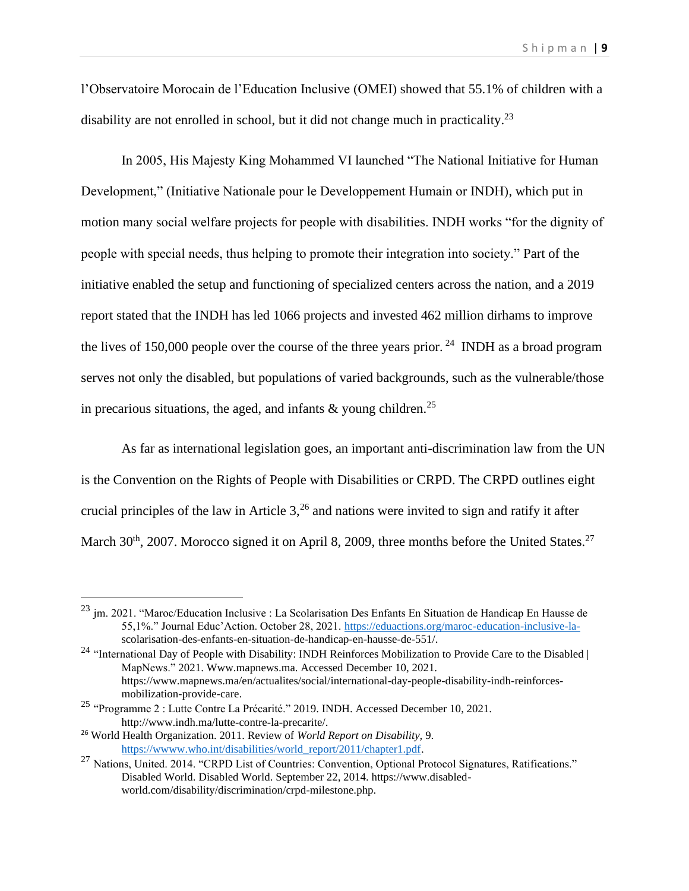l'Observatoire Morocain de l'Education Inclusive (OMEI) showed that 55.1% of children with a disability are not enrolled in school, but it did not change much in practicality.<sup>23</sup>

In 2005, His Majesty King Mohammed VI launched "The National Initiative for Human Development," (Initiative Nationale pour le Developpement Humain or INDH), which put in motion many social welfare projects for people with disabilities. INDH works "for the dignity of people with special needs, thus helping to promote their integration into society." Part of the initiative enabled the setup and functioning of specialized centers across the nation, and a 2019 report stated that the INDH has led 1066 projects and invested 462 million dirhams to improve the lives of 150,000 people over the course of the three years prior. <sup>24</sup> INDH as a broad program serves not only the disabled, but populations of varied backgrounds, such as the vulnerable/those in precarious situations, the aged, and infants  $\&$  young children.<sup>25</sup>

As far as international legislation goes, an important anti-discrimination law from the UN is the Convention on the Rights of People with Disabilities or CRPD. The CRPD outlines eight crucial principles of the law in Article  $3<sup>26</sup>$  and nations were invited to sign and ratify it after March  $30<sup>th</sup>$ , 2007. Morocco signed it on April 8, 2009, three months before the United States.<sup>27</sup>

<sup>&</sup>lt;sup>23</sup> jm. 2021. "Maroc/Education Inclusive : La Scolarisation Des Enfants En Situation de Handicap En Hausse de 55,1%." Journal Educ'Action. October 28, 2021. [https://eduactions.org/maroc-education-inclusive-la](https://eduactions.org/maroc-education-inclusive-la-)scolarisation-des-enfants-en-situation-de-handicap-en-hausse-de-551/.

<sup>&</sup>lt;sup>24</sup> "International Day of People with Disability: INDH Reinforces Mobilization to Provide Care to the Disabled | MapNews." 2021. Www.mapnews.ma. Accessed December 10, 2021. https://www.mapnews.ma/en/actualites/social/international-day-people-disability-indh-reinforcesmobilization-provide-care.

<sup>25</sup> "Programme 2 : Lutte Contre La Précarité." 2019. INDH. Accessed December 10, 2021. http://www.indh.ma/lutte-contre-la-precarite/.

<sup>26</sup> World Health Organization. 2011. Review of *World Report on Disability,* 9*.*  https://www.who.int/disabilities/world\_report/2011/chapter1.pdf.

<sup>&</sup>lt;sup>27</sup> Nations, United. 2014. "CRPD List of Countries: Convention, Optional Protocol Signatures, Ratifications." Disabled World. Disabled World. September 22, 2014. https://www.disabledworld.com/disability/discrimination/crpd-milestone.php.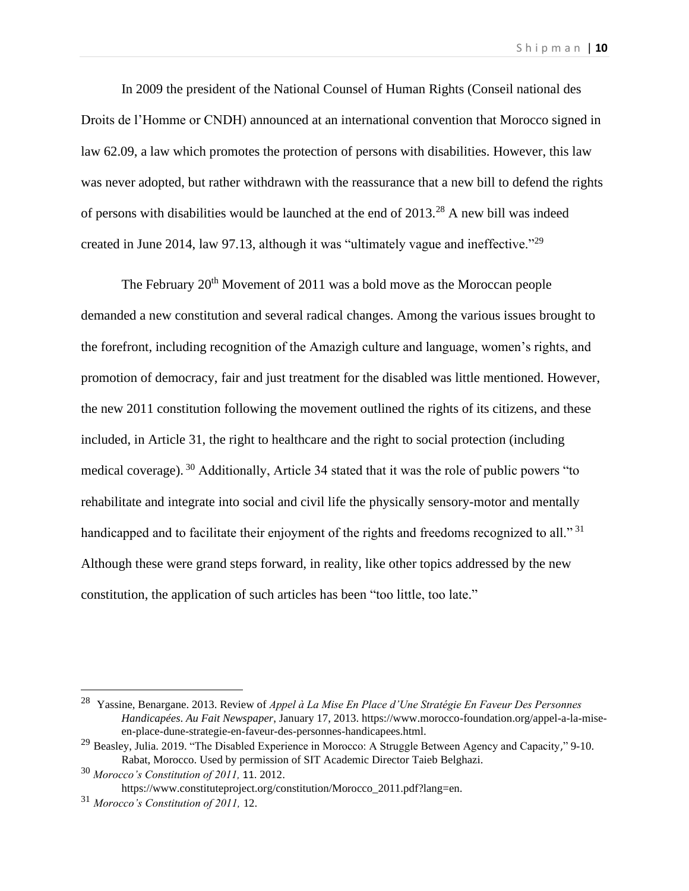In 2009 the president of the National Counsel of Human Rights (Conseil national des Droits de l'Homme or CNDH) announced at an international convention that Morocco signed in law 62.09, a law which promotes the protection of persons with disabilities. However, this law was never adopted, but rather withdrawn with the reassurance that a new bill to defend the rights of persons with disabilities would be launched at the end of 2013.<sup>28</sup> A new bill was indeed created in June 2014, law 97.13, although it was "ultimately vague and ineffective."<sup>29</sup>

The February  $20<sup>th</sup>$  Movement of 2011 was a bold move as the Moroccan people demanded a new constitution and several radical changes. Among the various issues brought to the forefront, including recognition of the Amazigh culture and language, women's rights, and promotion of democracy, fair and just treatment for the disabled was little mentioned. However, the new 2011 constitution following the movement outlined the rights of its citizens, and these included, in Article 31, the right to healthcare and the right to social protection (including medical coverage). <sup>30</sup> Additionally, Article 34 stated that it was the role of public powers "to rehabilitate and integrate into social and civil life the physically sensory-motor and mentally handicapped and to facilitate their enjoyment of the rights and freedoms recognized to all."<sup>31</sup> Although these were grand steps forward, in reality, like other topics addressed by the new constitution, the application of such articles has been "too little, too late."

<sup>28</sup> Yassine, Benargane. 2013. Review of *Appel à La Mise En Place d'Une Stratégie En Faveur Des Personnes Handicapées*. *Au Fait Newspaper*, January 17, 2013. https://www.morocco-foundation.org/appel-a-la-miseen-place-dune-strategie-en-faveur-des-personnes-handicapees.html.

<sup>&</sup>lt;sup>29</sup> Beasley, Julia. 2019. "The Disabled Experience in Morocco: A Struggle Between Agency and Capacity," 9-10. Rabat, Morocco. Used by permission of SIT Academic Director Taieb Belghazi.

<sup>30</sup> *Morocco's Constitution of 2011,* 11. 2012.

https://www.constituteproject.org/constitution/Morocco\_2011.pdf?lang=en.

<sup>31</sup> *Morocco's Constitution of 2011,* 12.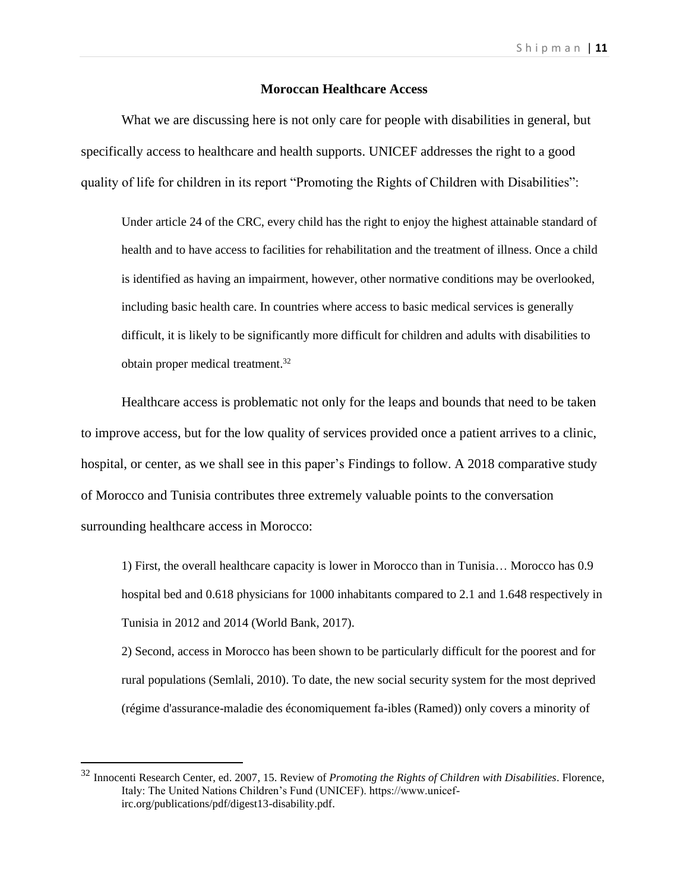#### **Moroccan Healthcare Access**

What we are discussing here is not only care for people with disabilities in general, but specifically access to healthcare and health supports. UNICEF addresses the right to a good quality of life for children in its report "Promoting the Rights of Children with Disabilities":

Under article 24 of the CRC, every child has the right to enjoy the highest attainable standard of health and to have access to facilities for rehabilitation and the treatment of illness. Once a child is identified as having an impairment, however, other normative conditions may be overlooked, including basic health care. In countries where access to basic medical services is generally difficult, it is likely to be significantly more difficult for children and adults with disabilities to obtain proper medical treatment.<sup>32</sup>

Healthcare access is problematic not only for the leaps and bounds that need to be taken to improve access, but for the low quality of services provided once a patient arrives to a clinic, hospital, or center, as we shall see in this paper's Findings to follow. A 2018 comparative study of Morocco and Tunisia contributes three extremely valuable points to the conversation surrounding healthcare access in Morocco:

1) First, the overall healthcare capacity is lower in Morocco than in Tunisia… Morocco has 0.9 hospital bed and 0.618 physicians for 1000 inhabitants compared to 2.1 and 1.648 respectively in Tunisia in 2012 and 2014 (World Bank, 2017).

2) Second, access in Morocco has been shown to be particularly difficult for the poorest and for rural populations (Semlali, 2010). To date, the new social security system for the most deprived (régime d'assurance-maladie des économiquement fa-ibles (Ramed)) only covers a minority of

<sup>32</sup> Innocenti Research Center, ed. 2007, 15. Review of *Promoting the Rights of Children with Disabilities*. Florence, Italy: The United Nations Children's Fund (UNICEF). https://www.unicefirc.org/publications/pdf/digest13-disability.pdf.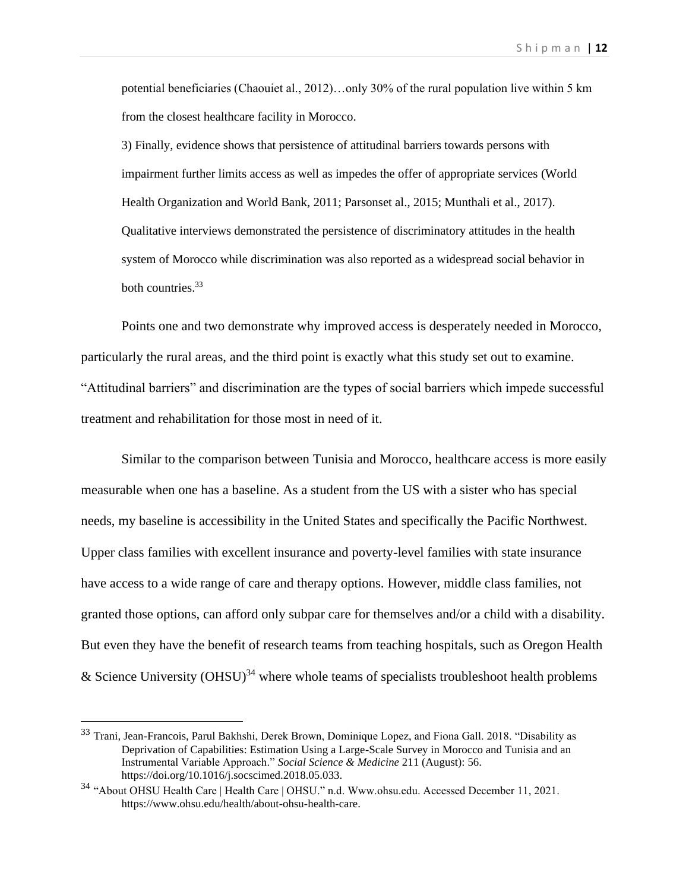potential beneficiaries (Chaouiet al., 2012)…only 30% of the rural population live within 5 km from the closest healthcare facility in Morocco.

3) Finally, evidence shows that persistence of attitudinal barriers towards persons with impairment further limits access as well as impedes the offer of appropriate services (World Health Organization and World Bank, 2011; Parsonset al., 2015; Munthali et al., 2017). Qualitative interviews demonstrated the persistence of discriminatory attitudes in the health system of Morocco while discrimination was also reported as a widespread social behavior in both countries. 33

Points one and two demonstrate why improved access is desperately needed in Morocco, particularly the rural areas, and the third point is exactly what this study set out to examine. "Attitudinal barriers" and discrimination are the types of social barriers which impede successful treatment and rehabilitation for those most in need of it.

Similar to the comparison between Tunisia and Morocco, healthcare access is more easily measurable when one has a baseline. As a student from the US with a sister who has special needs, my baseline is accessibility in the United States and specifically the Pacific Northwest. Upper class families with excellent insurance and poverty-level families with state insurance have access to a wide range of care and therapy options. However, middle class families, not granted those options, can afford only subpar care for themselves and/or a child with a disability. But even they have the benefit of research teams from teaching hospitals, such as Oregon Health & Science University  $(OHSU)^{34}$  where whole teams of specialists troubleshoot health problems

<sup>&</sup>lt;sup>33</sup> Trani, Jean-Francois, Parul Bakhshi, Derek Brown, Dominique Lopez, and Fiona Gall. 2018. "Disability as Deprivation of Capabilities: Estimation Using a Large-Scale Survey in Morocco and Tunisia and an Instrumental Variable Approach." *Social Science & Medicine* 211 (August): 56. https://doi.org/10.1016/j.socscimed.2018.05.033.

<sup>34</sup> "About OHSU Health Care | Health Care | OHSU." n.d. Www.ohsu.edu. Accessed December 11, 2021. https://www.ohsu.edu/health/about-ohsu-health-care.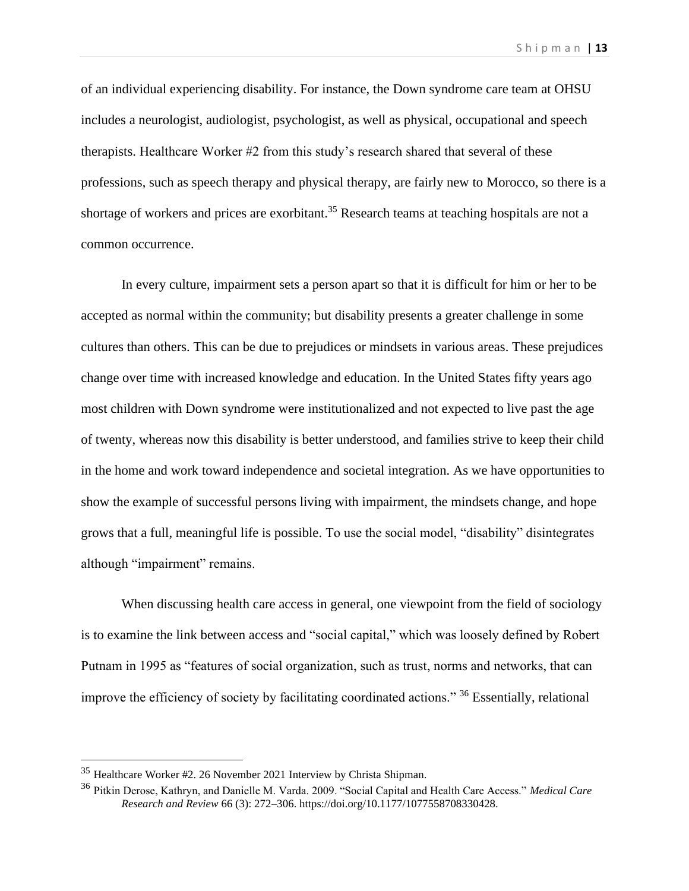of an individual experiencing disability. For instance, the Down syndrome care team at OHSU includes a neurologist, audiologist, psychologist, as well as physical, occupational and speech therapists. Healthcare Worker #2 from this study's research shared that several of these professions, such as speech therapy and physical therapy, are fairly new to Morocco, so there is a shortage of workers and prices are exorbitant.<sup>35</sup> Research teams at teaching hospitals are not a common occurrence.

In every culture, impairment sets a person apart so that it is difficult for him or her to be accepted as normal within the community; but disability presents a greater challenge in some cultures than others. This can be due to prejudices or mindsets in various areas. These prejudices change over time with increased knowledge and education. In the United States fifty years ago most children with Down syndrome were institutionalized and not expected to live past the age of twenty, whereas now this disability is better understood, and families strive to keep their child in the home and work toward independence and societal integration. As we have opportunities to show the example of successful persons living with impairment, the mindsets change, and hope grows that a full, meaningful life is possible. To use the social model, "disability" disintegrates although "impairment" remains.

When discussing health care access in general, one viewpoint from the field of sociology is to examine the link between access and "social capital," which was loosely defined by Robert Putnam in 1995 as "features of social organization, such as trust, norms and networks, that can improve the efficiency of society by facilitating coordinated actions." <sup>36</sup> Essentially, relational

<sup>35</sup> Healthcare Worker #2. 26 November 2021 Interview by Christa Shipman.

<sup>36</sup> Pitkin Derose, Kathryn, and Danielle M. Varda. 2009. "Social Capital and Health Care Access." *Medical Care Research and Review* 66 (3): 272–306. https://doi.org/10.1177/1077558708330428.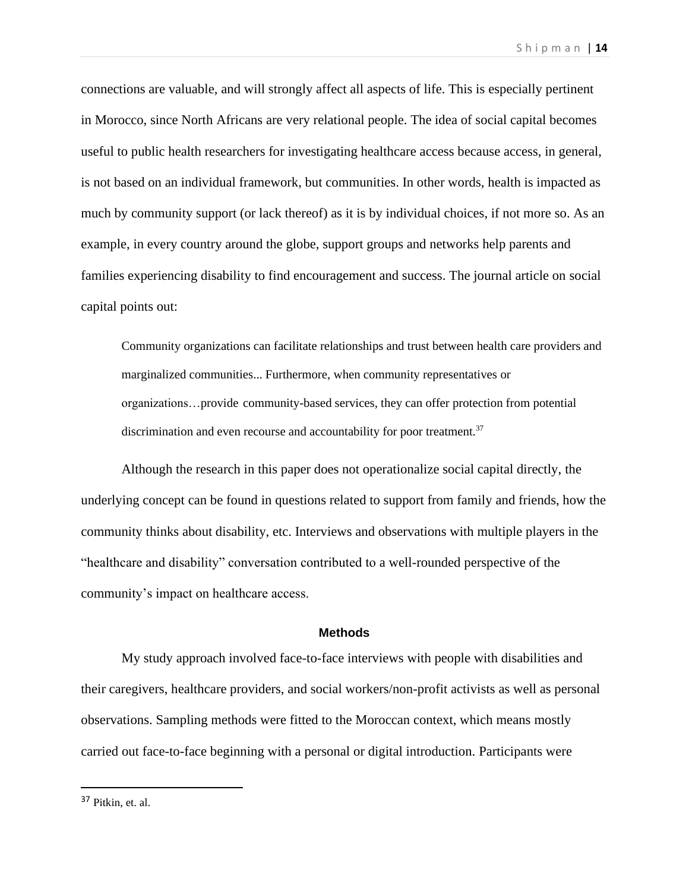connections are valuable, and will strongly affect all aspects of life. This is especially pertinent in Morocco, since North Africans are very relational people. The idea of social capital becomes useful to public health researchers for investigating healthcare access because access, in general, is not based on an individual framework, but communities. In other words, health is impacted as much by community support (or lack thereof) as it is by individual choices, if not more so. As an example, in every country around the globe, support groups and networks help parents and families experiencing disability to find encouragement and success. The journal article on social capital points out:

Community organizations can facilitate relationships and trust between health care providers and marginalized communities... Furthermore, when community representatives or organizations…provide community-based services, they can offer protection from potential discrimination and even recourse and accountability for poor treatment.<sup>37</sup>

Although the research in this paper does not operationalize social capital directly, the underlying concept can be found in questions related to support from family and friends, how the community thinks about disability, etc. Interviews and observations with multiple players in the "healthcare and disability" conversation contributed to a well-rounded perspective of the community's impact on healthcare access.

#### **Methods**

My study approach involved face-to-face interviews with people with disabilities and their caregivers, healthcare providers, and social workers/non-profit activists as well as personal observations. Sampling methods were fitted to the Moroccan context, which means mostly carried out face-to-face beginning with a personal or digital introduction. Participants were

<sup>37</sup> Pitkin, et. al.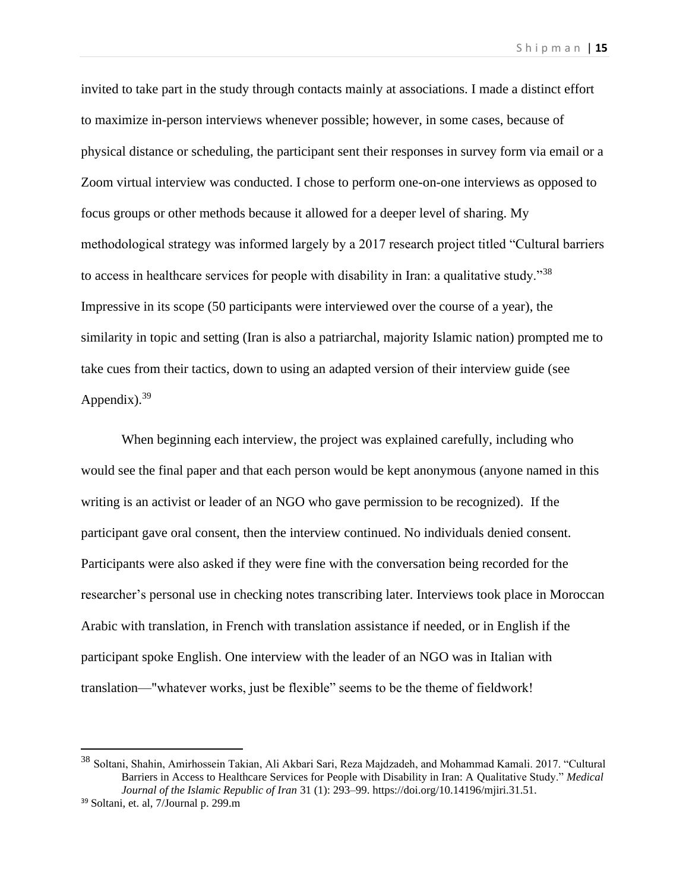invited to take part in the study through contacts mainly at associations. I made a distinct effort to maximize in-person interviews whenever possible; however, in some cases, because of physical distance or scheduling, the participant sent their responses in survey form via email or a Zoom virtual interview was conducted. I chose to perform one-on-one interviews as opposed to focus groups or other methods because it allowed for a deeper level of sharing. My methodological strategy was informed largely by a 2017 research project titled "Cultural barriers to access in healthcare services for people with disability in Iran: a qualitative study."<sup>38</sup> Impressive in its scope (50 participants were interviewed over the course of a year), the similarity in topic and setting (Iran is also a patriarchal, majority Islamic nation) prompted me to take cues from their tactics, down to using an adapted version of their interview guide (see Appendix). $39$ 

When beginning each interview, the project was explained carefully, including who would see the final paper and that each person would be kept anonymous (anyone named in this writing is an activist or leader of an NGO who gave permission to be recognized). If the participant gave oral consent, then the interview continued. No individuals denied consent. Participants were also asked if they were fine with the conversation being recorded for the researcher's personal use in checking notes transcribing later. Interviews took place in Moroccan Arabic with translation, in French with translation assistance if needed, or in English if the participant spoke English. One interview with the leader of an NGO was in Italian with translation—"whatever works, just be flexible" seems to be the theme of fieldwork!

<sup>38</sup> Soltani, Shahin, Amirhossein Takian, Ali Akbari Sari, Reza Majdzadeh, and Mohammad Kamali. 2017. "Cultural Barriers in Access to Healthcare Services for People with Disability in Iran: A Qualitative Study." *Medical Journal of the Islamic Republic of Iran* 31 (1): 293–99. https://doi.org/10.14196/mjiri.31.51.

<sup>39</sup> Soltani, et. al, 7/Journal p. 299.m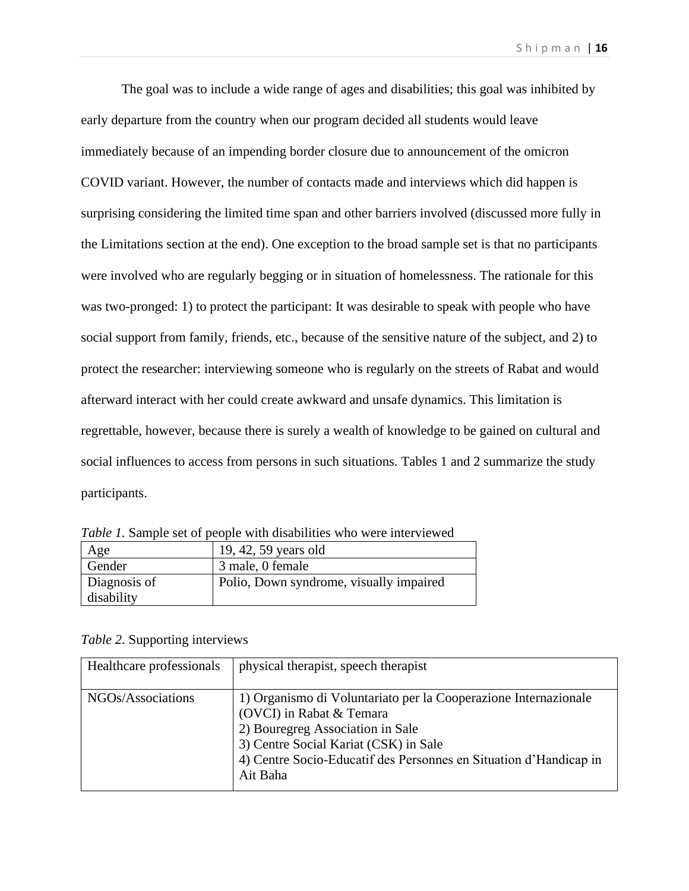The goal was to include a wide range of ages and disabilities; this goal was inhibited by early departure from the country when our program decided all students would leave immediately because of an impending border closure due to announcement of the omicron COVID variant. However, the number of contacts made and interviews which did happen is surprising considering the limited time span and other barriers involved (discussed more fully in the Limitations section at the end). One exception to the broad sample set is that no participants were involved who are regularly begging or in situation of homelessness. The rationale for this was two-pronged: 1) to protect the participant: It was desirable to speak with people who have social support from family, friends, etc., because of the sensitive nature of the subject, and 2) to protect the researcher: interviewing someone who is regularly on the streets of Rabat and would afterward interact with her could create awkward and unsafe dynamics. This limitation is regrettable, however, because there is surely a wealth of knowledge to be gained on cultural and social influences to access from persons in such situations. Tables 1 and 2 summarize the study participants.

| Age          | 19, 42, 59 years old                    |
|--------------|-----------------------------------------|
| Gender       | 3 male, 0 female                        |
| Diagnosis of | Polio, Down syndrome, visually impaired |
| disability   |                                         |

*Table 1.* Sample set of people with disabilities who were interviewed

# *Table 2.* Supporting interviews

| Healthcare professionals | physical therapist, speech therapist                              |
|--------------------------|-------------------------------------------------------------------|
|                          |                                                                   |
| NGOs/Associations        | 1) Organismo di Voluntariato per la Cooperazione Internazionale   |
|                          | (OVCI) in Rabat & Temara                                          |
|                          | 2) Bouregreg Association in Sale                                  |
|                          | 3) Centre Social Kariat (CSK) in Sale                             |
|                          | 4) Centre Socio-Educatif des Personnes en Situation d'Handicap in |
|                          | Ait Baha                                                          |
|                          |                                                                   |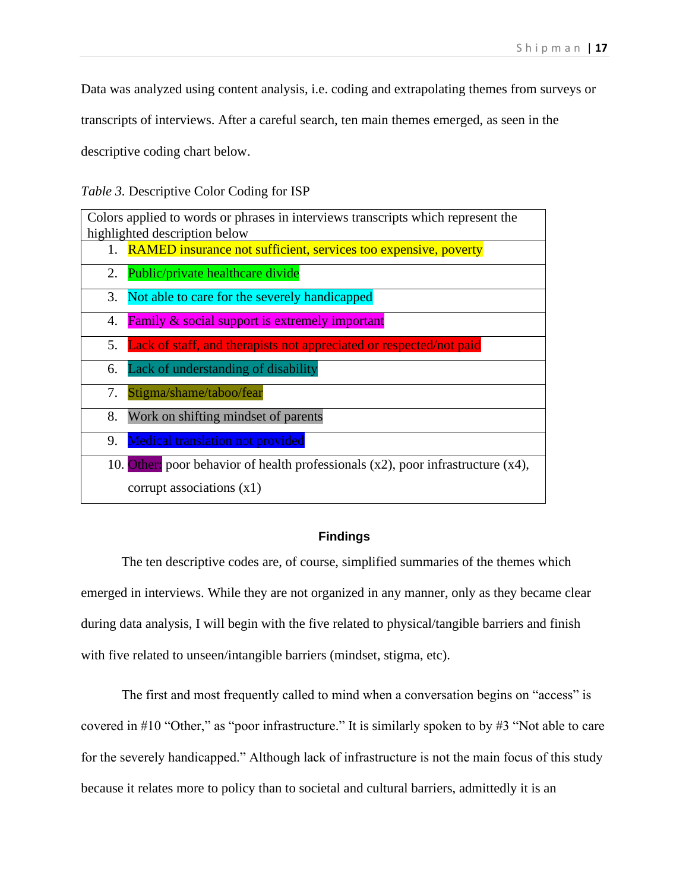Data was analyzed using content analysis, i.e. coding and extrapolating themes from surveys or

transcripts of interviews. After a careful search, ten main themes emerged, as seen in the

descriptive coding chart below.

*Table 3.* Descriptive Color Coding for ISP

| Colors applied to words or phrases in interviews transcripts which represent the       |  |  |  |
|----------------------------------------------------------------------------------------|--|--|--|
| highlighted description below                                                          |  |  |  |
| 1. RAMED insurance not sufficient, services too expensive, poverty                     |  |  |  |
| Public/private healthcare divide<br>2.                                                 |  |  |  |
| Not able to care for the severely handicapped<br>3.                                    |  |  |  |
| <b>Family &amp; social support is extremely important</b><br>4.                        |  |  |  |
| 5. Lack of staff, and therapists not appreciated or respected/not paid                 |  |  |  |
| 6. Lack of understanding of disability                                                 |  |  |  |
| Stigma/shame/taboo/fear<br>7.                                                          |  |  |  |
| Work on shifting mindset of parents<br>8.                                              |  |  |  |
| <b>Medical translation not provided</b><br>9.                                          |  |  |  |
| 10. Other: poor behavior of health professionals $(x2)$ , poor infrastructure $(x4)$ , |  |  |  |
| corrupt associations $(x1)$                                                            |  |  |  |

# **Findings**

The ten descriptive codes are, of course, simplified summaries of the themes which emerged in interviews. While they are not organized in any manner, only as they became clear during data analysis, I will begin with the five related to physical/tangible barriers and finish with five related to unseen/intangible barriers (mindset, stigma, etc).

The first and most frequently called to mind when a conversation begins on "access" is covered in #10 "Other," as "poor infrastructure." It is similarly spoken to by #3 "Not able to care for the severely handicapped." Although lack of infrastructure is not the main focus of this study because it relates more to policy than to societal and cultural barriers, admittedly it is an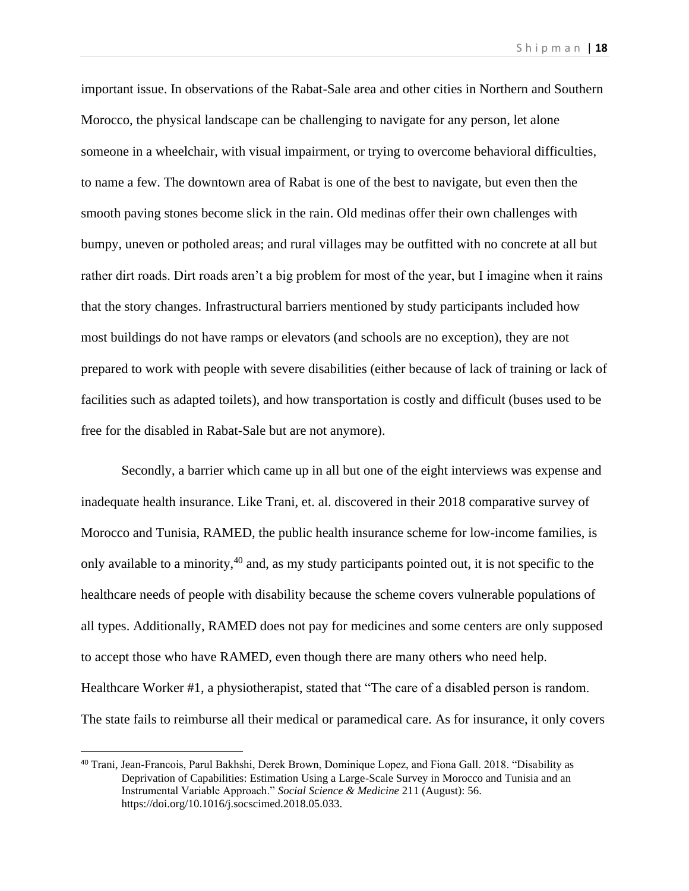important issue. In observations of the Rabat-Sale area and other cities in Northern and Southern Morocco, the physical landscape can be challenging to navigate for any person, let alone someone in a wheelchair, with visual impairment, or trying to overcome behavioral difficulties, to name a few. The downtown area of Rabat is one of the best to navigate, but even then the smooth paving stones become slick in the rain. Old medinas offer their own challenges with bumpy, uneven or potholed areas; and rural villages may be outfitted with no concrete at all but rather dirt roads. Dirt roads aren't a big problem for most of the year, but I imagine when it rains that the story changes. Infrastructural barriers mentioned by study participants included how most buildings do not have ramps or elevators (and schools are no exception), they are not prepared to work with people with severe disabilities (either because of lack of training or lack of facilities such as adapted toilets), and how transportation is costly and difficult (buses used to be free for the disabled in Rabat-Sale but are not anymore).

Secondly, a barrier which came up in all but one of the eight interviews was expense and inadequate health insurance. Like Trani, et. al. discovered in their 2018 comparative survey of Morocco and Tunisia, RAMED, the public health insurance scheme for low-income families, is only available to a minority,  $40$  and, as my study participants pointed out, it is not specific to the healthcare needs of people with disability because the scheme covers vulnerable populations of all types. Additionally, RAMED does not pay for medicines and some centers are only supposed to accept those who have RAMED, even though there are many others who need help. Healthcare Worker #1, a physiotherapist, stated that "The care of a disabled person is random. The state fails to reimburse all their medical or paramedical care. As for insurance, it only covers

<sup>40</sup> Trani, Jean-Francois, Parul Bakhshi, Derek Brown, Dominique Lopez, and Fiona Gall. 2018. "Disability as Deprivation of Capabilities: Estimation Using a Large-Scale Survey in Morocco and Tunisia and an Instrumental Variable Approach." *Social Science & Medicine* 211 (August): 56. https://doi.org/10.1016/j.socscimed.2018.05.033.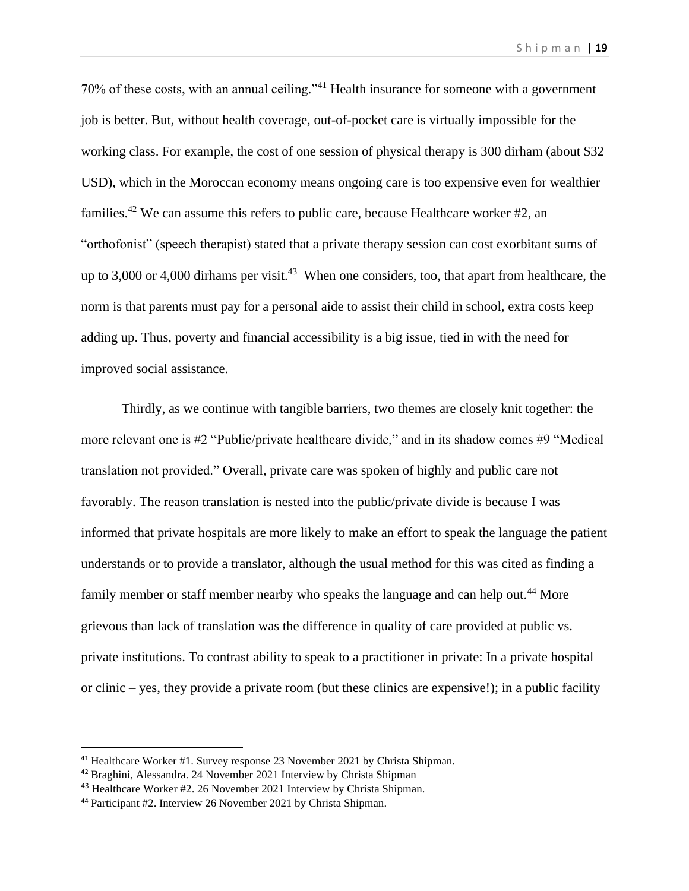70% of these costs, with an annual ceiling."<sup>41</sup> Health insurance for someone with a government job is better. But, without health coverage, out-of-pocket care is virtually impossible for the working class. For example, the cost of one session of physical therapy is 300 dirham (about \$32 USD), which in the Moroccan economy means ongoing care is too expensive even for wealthier families.<sup>42</sup> We can assume this refers to public care, because Healthcare worker  $#2$ , an "orthofonist" (speech therapist) stated that a private therapy session can cost exorbitant sums of up to 3,000 or 4,000 dirhams per visit.<sup>43</sup> When one considers, too, that apart from healthcare, the norm is that parents must pay for a personal aide to assist their child in school, extra costs keep adding up. Thus, poverty and financial accessibility is a big issue, tied in with the need for improved social assistance.

Thirdly, as we continue with tangible barriers, two themes are closely knit together: the more relevant one is #2 "Public/private healthcare divide," and in its shadow comes #9 "Medical translation not provided." Overall, private care was spoken of highly and public care not favorably. The reason translation is nested into the public/private divide is because I was informed that private hospitals are more likely to make an effort to speak the language the patient understands or to provide a translator, although the usual method for this was cited as finding a family member or staff member nearby who speaks the language and can help out.<sup>44</sup> More grievous than lack of translation was the difference in quality of care provided at public vs. private institutions. To contrast ability to speak to a practitioner in private: In a private hospital or clinic – yes, they provide a private room (but these clinics are expensive!); in a public facility

<sup>41</sup> Healthcare Worker #1. Survey response 23 November 2021 by Christa Shipman.

<sup>42</sup> Braghini, Alessandra. 24 November 2021 Interview by Christa Shipman

<sup>43</sup> Healthcare Worker #2. 26 November 2021 Interview by Christa Shipman.

<sup>44</sup> Participant #2. Interview 26 November 2021 by Christa Shipman.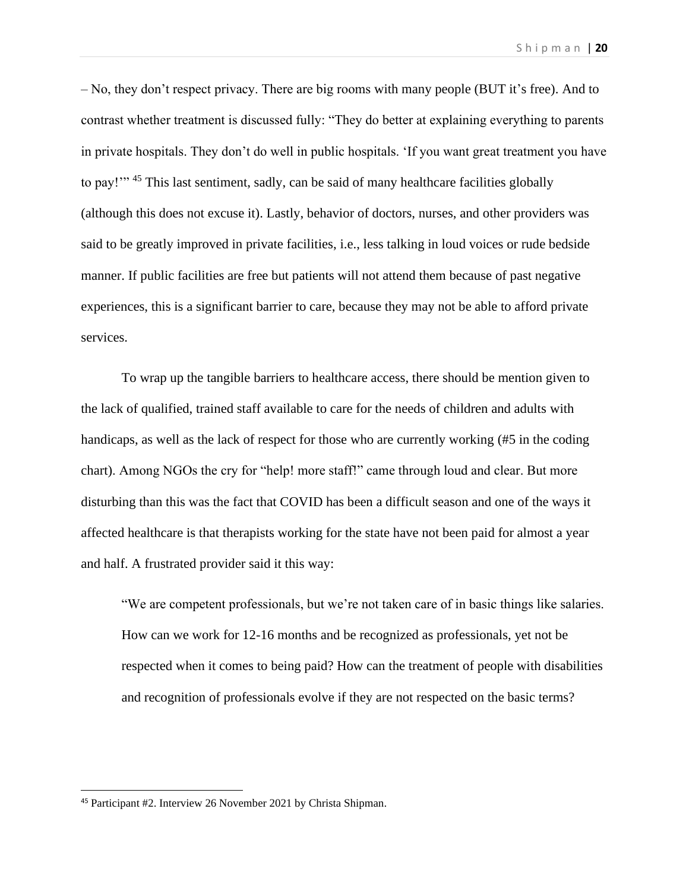– No, they don't respect privacy. There are big rooms with many people (BUT it's free). And to contrast whether treatment is discussed fully: "They do better at explaining everything to parents in private hospitals. They don't do well in public hospitals. 'If you want great treatment you have to pay!"<sup>45</sup> This last sentiment, sadly, can be said of many healthcare facilities globally (although this does not excuse it). Lastly, behavior of doctors, nurses, and other providers was said to be greatly improved in private facilities, i.e., less talking in loud voices or rude bedside manner. If public facilities are free but patients will not attend them because of past negative experiences, this is a significant barrier to care, because they may not be able to afford private services.

To wrap up the tangible barriers to healthcare access, there should be mention given to the lack of qualified, trained staff available to care for the needs of children and adults with handicaps, as well as the lack of respect for those who are currently working (#5 in the coding chart). Among NGOs the cry for "help! more staff!" came through loud and clear. But more disturbing than this was the fact that COVID has been a difficult season and one of the ways it affected healthcare is that therapists working for the state have not been paid for almost a year and half. A frustrated provider said it this way:

"We are competent professionals, but we're not taken care of in basic things like salaries. How can we work for 12-16 months and be recognized as professionals, yet not be respected when it comes to being paid? How can the treatment of people with disabilities and recognition of professionals evolve if they are not respected on the basic terms?

<sup>45</sup> Participant #2. Interview 26 November 2021 by Christa Shipman.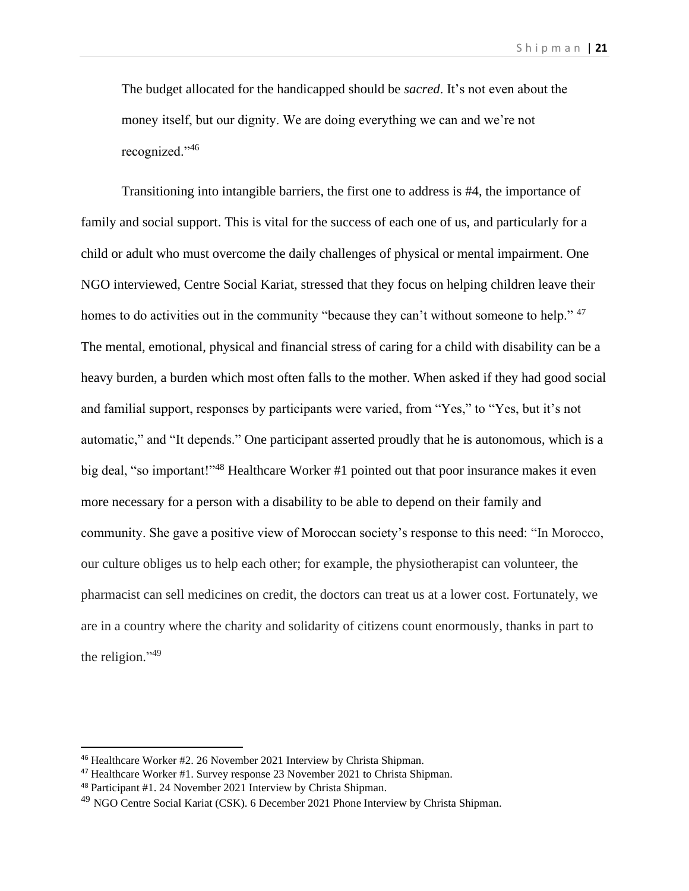The budget allocated for the handicapped should be *sacred*. It's not even about the money itself, but our dignity. We are doing everything we can and we're not recognized."<sup>46</sup>

Transitioning into intangible barriers, the first one to address is #4, the importance of family and social support. This is vital for the success of each one of us, and particularly for a child or adult who must overcome the daily challenges of physical or mental impairment. One NGO interviewed, Centre Social Kariat, stressed that they focus on helping children leave their homes to do activities out in the community "because they can't without someone to help."<sup>47</sup> The mental, emotional, physical and financial stress of caring for a child with disability can be a heavy burden, a burden which most often falls to the mother. When asked if they had good social and familial support, responses by participants were varied, from "Yes," to "Yes, but it's not automatic," and "It depends." One participant asserted proudly that he is autonomous, which is a big deal, "so important!"<sup>48</sup> Healthcare Worker #1 pointed out that poor insurance makes it even more necessary for a person with a disability to be able to depend on their family and community. She gave a positive view of Moroccan society's response to this need: "In Morocco, our culture obliges us to help each other; for example, the physiotherapist can volunteer, the pharmacist can sell medicines on credit, the doctors can treat us at a lower cost. Fortunately, we are in a country where the charity and solidarity of citizens count enormously, thanks in part to the religion." $49$ 

<sup>46</sup> Healthcare Worker #2. 26 November 2021 Interview by Christa Shipman.

<sup>47</sup> Healthcare Worker #1. Survey response 23 November 2021 to Christa Shipman.

<sup>48</sup> Participant #1. 24 November 2021 Interview by Christa Shipman.

<sup>&</sup>lt;sup>49</sup> NGO Centre Social Kariat (CSK). 6 December 2021 Phone Interview by Christa Shipman.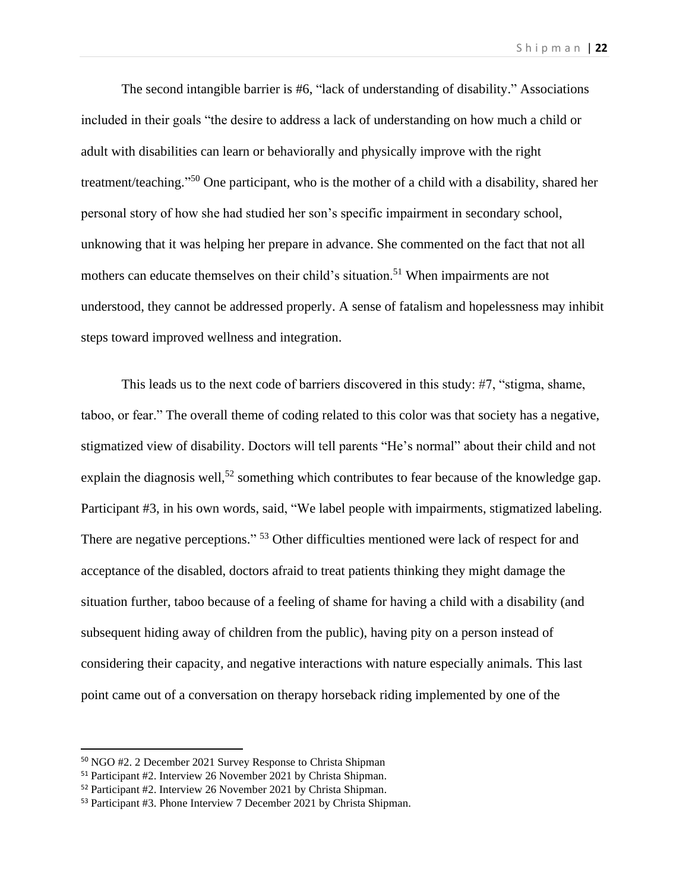The second intangible barrier is #6, "lack of understanding of disability." Associations included in their goals "the desire to address a lack of understanding on how much a child or adult with disabilities can learn or behaviorally and physically improve with the right treatment/teaching."<sup>50</sup> One participant, who is the mother of a child with a disability, shared her personal story of how she had studied her son's specific impairment in secondary school, unknowing that it was helping her prepare in advance. She commented on the fact that not all mothers can educate themselves on their child's situation.<sup>51</sup> When impairments are not understood, they cannot be addressed properly. A sense of fatalism and hopelessness may inhibit steps toward improved wellness and integration.

This leads us to the next code of barriers discovered in this study: #7, "stigma, shame, taboo, or fear." The overall theme of coding related to this color was that society has a negative, stigmatized view of disability. Doctors will tell parents "He's normal" about their child and not explain the diagnosis well,<sup>52</sup> something which contributes to fear because of the knowledge gap. Participant #3, in his own words, said, "We label people with impairments, stigmatized labeling. There are negative perceptions."<sup>53</sup> Other difficulties mentioned were lack of respect for and acceptance of the disabled, doctors afraid to treat patients thinking they might damage the situation further, taboo because of a feeling of shame for having a child with a disability (and subsequent hiding away of children from the public), having pity on a person instead of considering their capacity, and negative interactions with nature especially animals. This last point came out of a conversation on therapy horseback riding implemented by one of the

<sup>50</sup> NGO #2. 2 December 2021 Survey Response to Christa Shipman

<sup>51</sup> Participant #2. Interview 26 November 2021 by Christa Shipman.

<sup>52</sup> Participant #2. Interview 26 November 2021 by Christa Shipman.

<sup>53</sup> Participant #3. Phone Interview 7 December 2021 by Christa Shipman.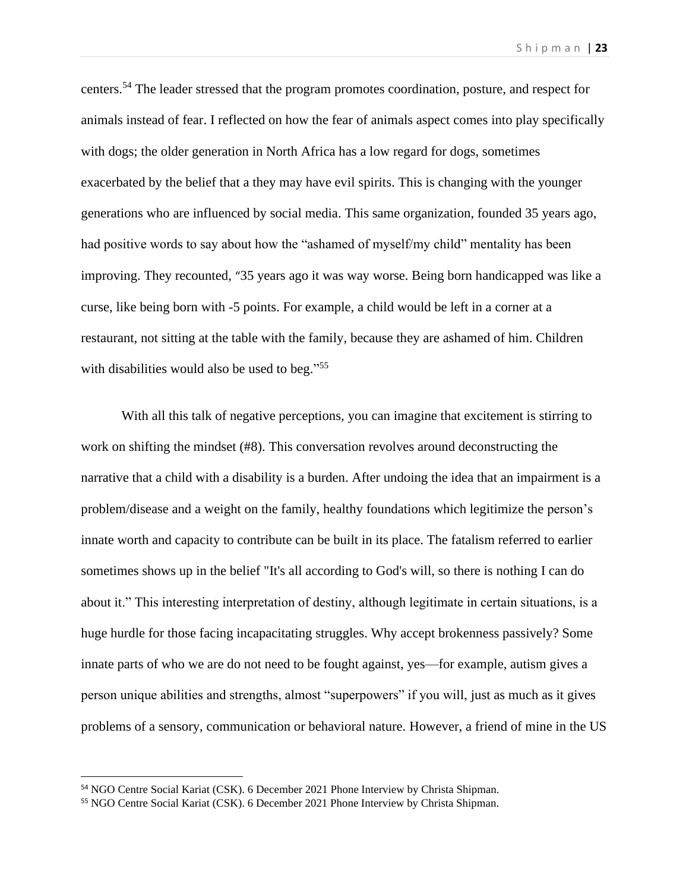centers.<sup>54</sup> The leader stressed that the program promotes coordination, posture, and respect for animals instead of fear. I reflected on how the fear of animals aspect comes into play specifically with dogs; the older generation in North Africa has a low regard for dogs, sometimes exacerbated by the belief that a they may have evil spirits. This is changing with the younger generations who are influenced by social media. This same organization, founded 35 years ago, had positive words to say about how the "ashamed of myself/my child" mentality has been improving. They recounted, "35 years ago it was way worse. Being born handicapped was like a curse, like being born with -5 points. For example, a child would be left in a corner at a restaurant, not sitting at the table with the family, because they are ashamed of him. Children with disabilities would also be used to beg."<sup>55</sup>

With all this talk of negative perceptions, you can imagine that excitement is stirring to work on shifting the mindset (#8). This conversation revolves around deconstructing the narrative that a child with a disability is a burden. After undoing the idea that an impairment is a problem/disease and a weight on the family, healthy foundations which legitimize the person's innate worth and capacity to contribute can be built in its place. The fatalism referred to earlier sometimes shows up in the belief "It's all according to God's will, so there is nothing I can do about it." This interesting interpretation of destiny, although legitimate in certain situations, is a huge hurdle for those facing incapacitating struggles. Why accept brokenness passively? Some innate parts of who we are do not need to be fought against, yes—for example, autism gives a person unique abilities and strengths, almost "superpowers" if you will, just as much as it gives problems of a sensory, communication or behavioral nature. However, a friend of mine in the US

<sup>54</sup> NGO Centre Social Kariat (CSK). 6 December 2021 Phone Interview by Christa Shipman.

<sup>55</sup> NGO Centre Social Kariat (CSK). 6 December 2021 Phone Interview by Christa Shipman.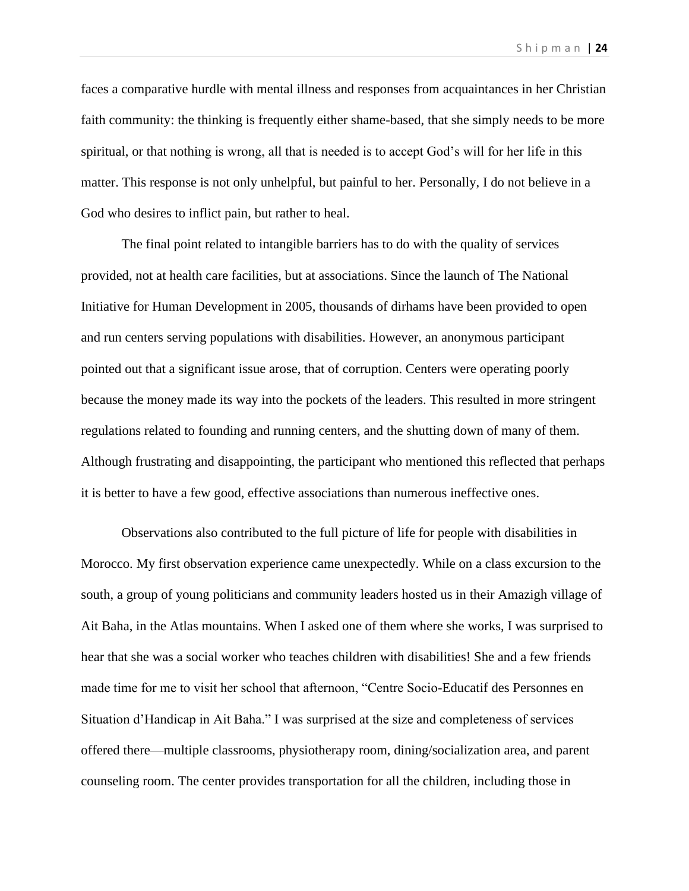faces a comparative hurdle with mental illness and responses from acquaintances in her Christian faith community: the thinking is frequently either shame-based, that she simply needs to be more spiritual, or that nothing is wrong, all that is needed is to accept God's will for her life in this matter. This response is not only unhelpful, but painful to her. Personally, I do not believe in a God who desires to inflict pain, but rather to heal.

The final point related to intangible barriers has to do with the quality of services provided, not at health care facilities, but at associations. Since the launch of The National Initiative for Human Development in 2005, thousands of dirhams have been provided to open and run centers serving populations with disabilities. However, an anonymous participant pointed out that a significant issue arose, that of corruption. Centers were operating poorly because the money made its way into the pockets of the leaders. This resulted in more stringent regulations related to founding and running centers, and the shutting down of many of them. Although frustrating and disappointing, the participant who mentioned this reflected that perhaps it is better to have a few good, effective associations than numerous ineffective ones.

Observations also contributed to the full picture of life for people with disabilities in Morocco. My first observation experience came unexpectedly. While on a class excursion to the south, a group of young politicians and community leaders hosted us in their Amazigh village of Ait Baha, in the Atlas mountains. When I asked one of them where she works, I was surprised to hear that she was a social worker who teaches children with disabilities! She and a few friends made time for me to visit her school that afternoon, "Centre Socio-Educatif des Personnes en Situation d'Handicap in Ait Baha." I was surprised at the size and completeness of services offered there—multiple classrooms, physiotherapy room, dining/socialization area, and parent counseling room. The center provides transportation for all the children, including those in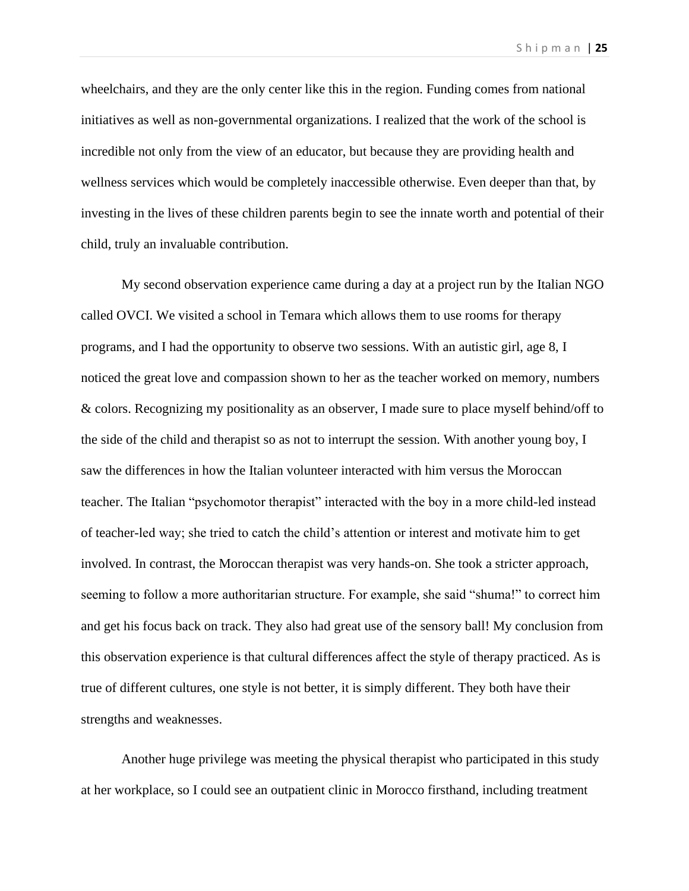wheelchairs, and they are the only center like this in the region. Funding comes from national initiatives as well as non-governmental organizations. I realized that the work of the school is incredible not only from the view of an educator, but because they are providing health and wellness services which would be completely inaccessible otherwise. Even deeper than that, by investing in the lives of these children parents begin to see the innate worth and potential of their child, truly an invaluable contribution.

My second observation experience came during a day at a project run by the Italian NGO called OVCI. We visited a school in Temara which allows them to use rooms for therapy programs, and I had the opportunity to observe two sessions. With an autistic girl, age 8, I noticed the great love and compassion shown to her as the teacher worked on memory, numbers & colors. Recognizing my positionality as an observer, I made sure to place myself behind/off to the side of the child and therapist so as not to interrupt the session. With another young boy, I saw the differences in how the Italian volunteer interacted with him versus the Moroccan teacher. The Italian "psychomotor therapist" interacted with the boy in a more child-led instead of teacher-led way; she tried to catch the child's attention or interest and motivate him to get involved. In contrast, the Moroccan therapist was very hands-on. She took a stricter approach, seeming to follow a more authoritarian structure. For example, she said "shuma!" to correct him and get his focus back on track. They also had great use of the sensory ball! My conclusion from this observation experience is that cultural differences affect the style of therapy practiced. As is true of different cultures, one style is not better, it is simply different. They both have their strengths and weaknesses.

Another huge privilege was meeting the physical therapist who participated in this study at her workplace, so I could see an outpatient clinic in Morocco firsthand, including treatment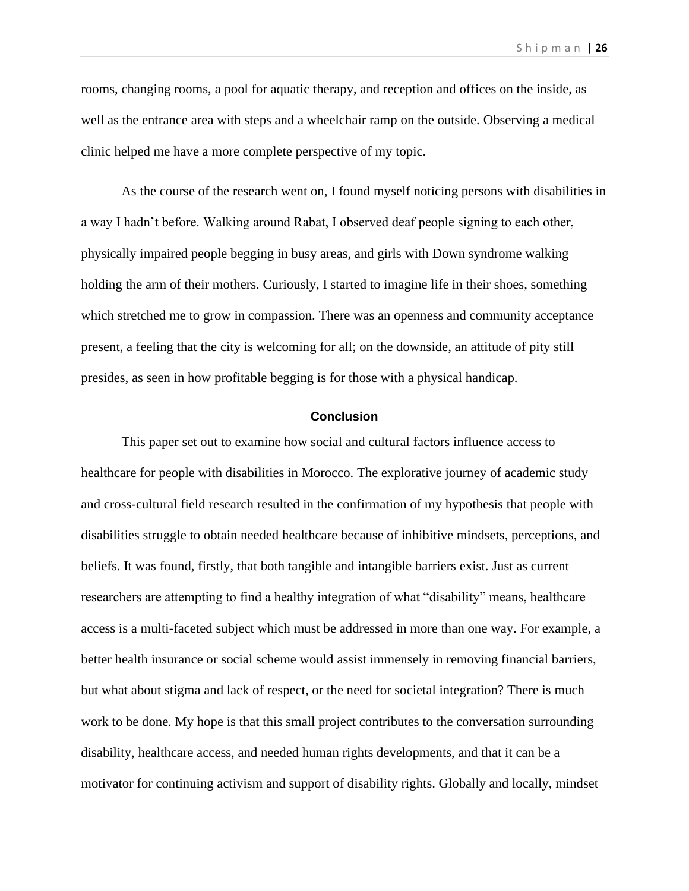rooms, changing rooms, a pool for aquatic therapy, and reception and offices on the inside, as well as the entrance area with steps and a wheelchair ramp on the outside. Observing a medical clinic helped me have a more complete perspective of my topic.

As the course of the research went on, I found myself noticing persons with disabilities in a way I hadn't before. Walking around Rabat, I observed deaf people signing to each other, physically impaired people begging in busy areas, and girls with Down syndrome walking holding the arm of their mothers. Curiously, I started to imagine life in their shoes, something which stretched me to grow in compassion. There was an openness and community acceptance present, a feeling that the city is welcoming for all; on the downside, an attitude of pity still presides, as seen in how profitable begging is for those with a physical handicap.

# **Conclusion**

This paper set out to examine how social and cultural factors influence access to healthcare for people with disabilities in Morocco. The explorative journey of academic study and cross-cultural field research resulted in the confirmation of my hypothesis that people with disabilities struggle to obtain needed healthcare because of inhibitive mindsets, perceptions, and beliefs. It was found, firstly, that both tangible and intangible barriers exist. Just as current researchers are attempting to find a healthy integration of what "disability" means, healthcare access is a multi-faceted subject which must be addressed in more than one way. For example, a better health insurance or social scheme would assist immensely in removing financial barriers, but what about stigma and lack of respect, or the need for societal integration? There is much work to be done. My hope is that this small project contributes to the conversation surrounding disability, healthcare access, and needed human rights developments, and that it can be a motivator for continuing activism and support of disability rights. Globally and locally, mindset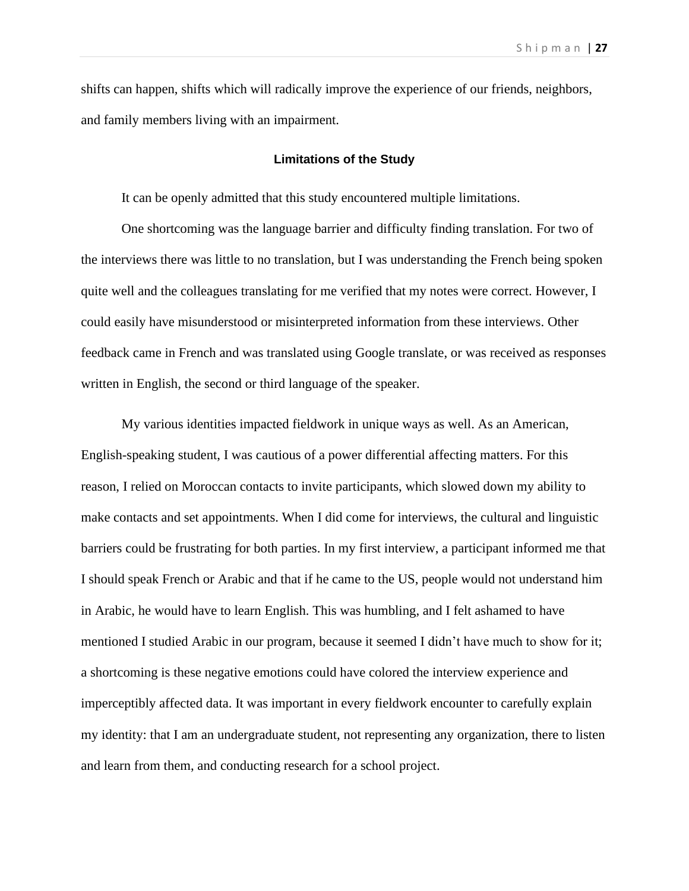shifts can happen, shifts which will radically improve the experience of our friends, neighbors, and family members living with an impairment.

#### **Limitations of the Study**

It can be openly admitted that this study encountered multiple limitations.

One shortcoming was the language barrier and difficulty finding translation. For two of the interviews there was little to no translation, but I was understanding the French being spoken quite well and the colleagues translating for me verified that my notes were correct. However, I could easily have misunderstood or misinterpreted information from these interviews. Other feedback came in French and was translated using Google translate, or was received as responses written in English, the second or third language of the speaker.

My various identities impacted fieldwork in unique ways as well. As an American, English-speaking student, I was cautious of a power differential affecting matters. For this reason, I relied on Moroccan contacts to invite participants, which slowed down my ability to make contacts and set appointments. When I did come for interviews, the cultural and linguistic barriers could be frustrating for both parties. In my first interview, a participant informed me that I should speak French or Arabic and that if he came to the US, people would not understand him in Arabic, he would have to learn English. This was humbling, and I felt ashamed to have mentioned I studied Arabic in our program, because it seemed I didn't have much to show for it; a shortcoming is these negative emotions could have colored the interview experience and imperceptibly affected data. It was important in every fieldwork encounter to carefully explain my identity: that I am an undergraduate student, not representing any organization, there to listen and learn from them, and conducting research for a school project.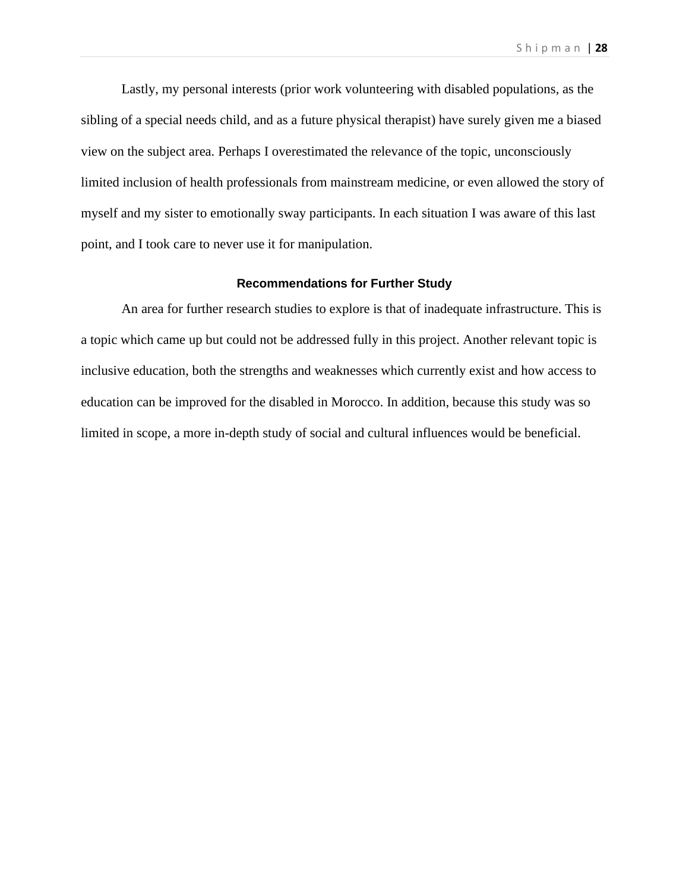Lastly, my personal interests (prior work volunteering with disabled populations, as the sibling of a special needs child, and as a future physical therapist) have surely given me a biased view on the subject area. Perhaps I overestimated the relevance of the topic, unconsciously limited inclusion of health professionals from mainstream medicine, or even allowed the story of myself and my sister to emotionally sway participants. In each situation I was aware of this last point, and I took care to never use it for manipulation.

## **Recommendations for Further Study**

An area for further research studies to explore is that of inadequate infrastructure. This is a topic which came up but could not be addressed fully in this project. Another relevant topic is inclusive education, both the strengths and weaknesses which currently exist and how access to education can be improved for the disabled in Morocco. In addition, because this study was so limited in scope, a more in-depth study of social and cultural influences would be beneficial.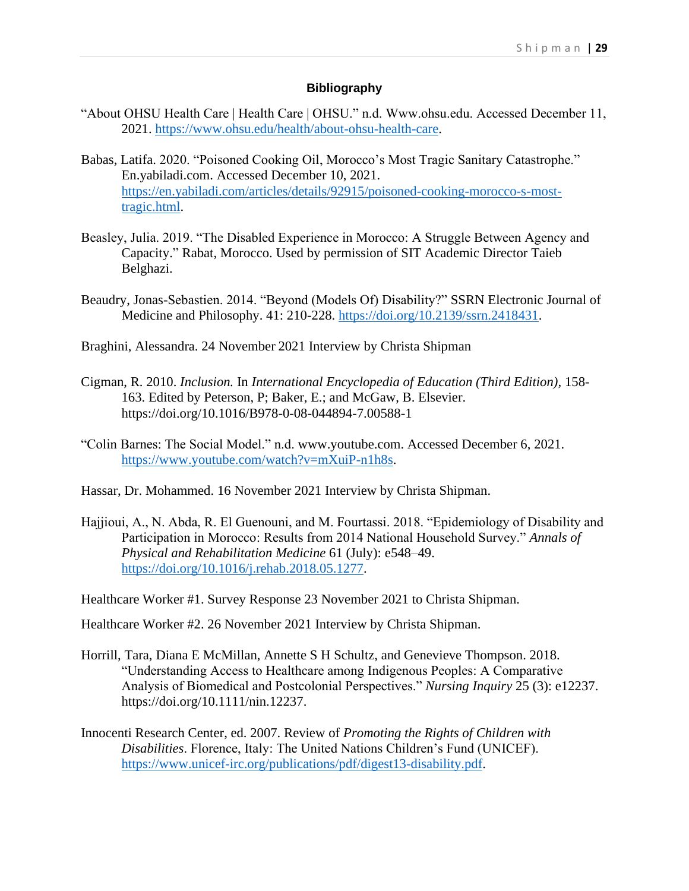## **Bibliography**

- "About OHSU Health Care | Health Care | OHSU." n.d. Www.ohsu.edu. Accessed December 11, 2021. [https://www.ohsu.edu/health/about-ohsu-health-care.](https://www.ohsu.edu/health/about-ohsu-health-care)
- Babas, Latifa. 2020. "Poisoned Cooking Oil, Morocco's Most Tragic Sanitary Catastrophe." En.yabiladi.com. Accessed December 10, 2021. [https://en.yabiladi.com/articles/details/92915/poisoned-cooking-morocco-s-most](https://en.yabiladi.com/articles/details/92915/poisoned-cooking-morocco-s-most-tragic.html)[tragic.html.](https://en.yabiladi.com/articles/details/92915/poisoned-cooking-morocco-s-most-tragic.html)
- Beasley, Julia. 2019. "The Disabled Experience in Morocco: A Struggle Between Agency and Capacity." Rabat, Morocco. Used by permission of SIT Academic Director Taieb Belghazi.
- Beaudry, Jonas-Sebastien. 2014. "Beyond (Models Of) Disability?" SSRN Electronic Journal of Medicine and Philosophy. 41: 210-228. [https://doi.org/10.2139/ssrn.2418431.](https://doi.org/10.2139/ssrn.2418431)
- Braghini, Alessandra. 24 November 2021 Interview by Christa Shipman
- Cigman, R. 2010. *Inclusion.* In *International Encyclopedia of Education (Third Edition),* 158- 163. Edited by Peterson, P; Baker, E.; and McGaw, B. Elsevier. https://doi.org/10.1016/B978-0-08-044894-7.00588-1
- "Colin Barnes: The Social Model." n.d. www.youtube.com. Accessed December 6, 2021. [https://www.youtube.com/watch?v=mXuiP-n1h8s.](https://www.youtube.com/watch?v=mXuiP-n1h8s)
- Hassar, Dr. Mohammed. 16 November 2021 Interview by Christa Shipman.
- Hajjioui, A., N. Abda, R. El Guenouni, and M. Fourtassi. 2018. "Epidemiology of Disability and Participation in Morocco: Results from 2014 National Household Survey." *Annals of Physical and Rehabilitation Medicine* 61 (July): e548–49. [https://doi.org/10.1016/j.rehab.2018.05.1277.](https://doi.org/10.1016/j.rehab.2018.05.1277)

Healthcare Worker #1. Survey Response 23 November 2021 to Christa Shipman.

Healthcare Worker #2. 26 November 2021 Interview by Christa Shipman.

- Horrill, Tara, Diana E McMillan, Annette S H Schultz, and Genevieve Thompson. 2018. "Understanding Access to Healthcare among Indigenous Peoples: A Comparative Analysis of Biomedical and Postcolonial Perspectives." *Nursing Inquiry* 25 (3): e12237. https://doi.org/10.1111/nin.12237.
- Innocenti Research Center, ed. 2007. Review of *Promoting the Rights of Children with Disabilities*. Florence, Italy: The United Nations Children's Fund (UNICEF). [https://www.unicef-irc.org/publications/pdf/digest13-disability.pdf.](https://www.unicef-irc.org/publications/pdf/digest13-disability.pdf)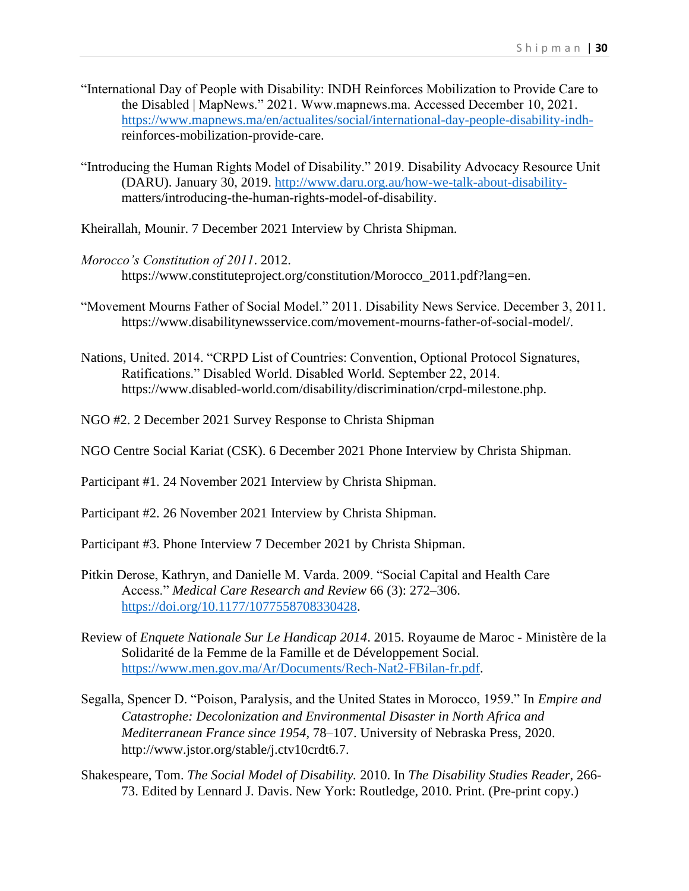- "International Day of People with Disability: INDH Reinforces Mobilization to Provide Care to the Disabled | MapNews." 2021. Www.mapnews.ma. Accessed December 10, 2021. https://www.mapnews.ma/en/actualites/social/international-day-people-disability-indhreinforces-mobilization-provide-care.
- "Introducing the Human Rights Model of Disability." 2019. Disability Advocacy Resource Unit (DARU). January 30, 2019. http://www.daru.org.au/how-we-talk-about-disabilitymatters/introducing-the-human-rights-model-of-disability.
- Kheirallah, Mounir. 7 December 2021 Interview by Christa Shipman.
- *Morocco's Constitution of 2011*. 2012. https://www.constituteproject.org/constitution/Morocco\_2011.pdf?lang=en.
- "Movement Mourns Father of Social Model." 2011. Disability News Service. December 3, 2011. https://www.disabilitynewsservice.com/movement-mourns-father-of-social-model/.
- Nations, United. 2014. "CRPD List of Countries: Convention, Optional Protocol Signatures, Ratifications." Disabled World. Disabled World. September 22, 2014. https://www.disabled-world.com/disability/discrimination/crpd-milestone.php.
- NGO #2. 2 December 2021 Survey Response to Christa Shipman
- NGO Centre Social Kariat (CSK). 6 December 2021 Phone Interview by Christa Shipman.
- Participant #1. 24 November 2021 Interview by Christa Shipman.
- Participant #2. 26 November 2021 Interview by Christa Shipman.
- Participant #3. Phone Interview 7 December 2021 by Christa Shipman.
- Pitkin Derose, Kathryn, and Danielle M. Varda. 2009. "Social Capital and Health Care Access." *Medical Care Research and Review* 66 (3): 272–306. https://doi.org/10.1177/1077558708330428.
- Review of *Enquete Nationale Sur Le Handicap 2014*. 2015. Royaume de Maroc Ministère de la Solidarité de la Femme de la Famille et de Développement Social. https://www.men.gov.ma/Ar/Documents/Rech-Nat2-FBilan-fr.pdf.
- Segalla, Spencer D. "Poison, Paralysis, and the United States in Morocco, 1959." In *Empire and Catastrophe: Decolonization and Environmental Disaster in North Africa and Mediterranean France since 1954*, 78–107. University of Nebraska Press, 2020. http://www.jstor.org/stable/j.ctv10crdt6.7.
- Shakespeare, Tom. *The Social Model of Disability.* 2010. In *The Disability Studies Reader*, 266- 73. Edited by Lennard J. Davis. New York: Routledge, 2010. Print. (Pre-print copy.)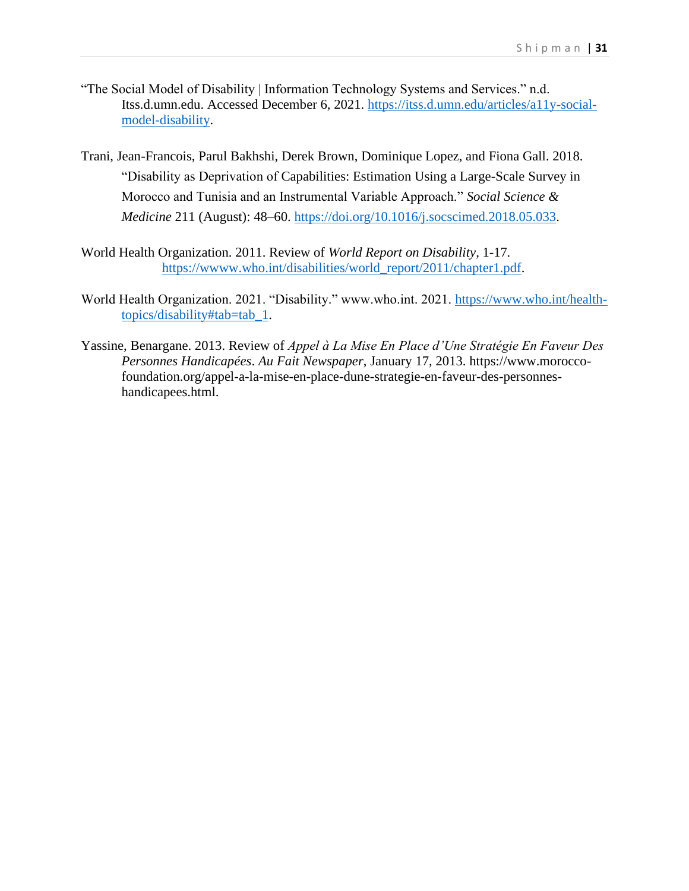- "The Social Model of Disability | Information Technology Systems and Services." n.d. Itss.d.umn.edu. Accessed December 6, 2021. https://itss.d.umn.edu/articles/a11y-socialmodel-disability.
- Trani, Jean-Francois, Parul Bakhshi, Derek Brown, Dominique Lopez, and Fiona Gall. 2018. "Disability as Deprivation of Capabilities: Estimation Using a Large-Scale Survey in Morocco and Tunisia and an Instrumental Variable Approach." *Social Science & Medicine* 211 (August): 48–60. https://doi.org/10.1016/j.socscimed.2018.05.033.
- World Health Organization. 2011. Review of *World Report on Disability,* 1-17*.*  https://wwww.who.int/disabilities/world\_report/2011/chapter1.pdf.
- World Health Organization. 2021. "Disability." www.who.int. 2021. https://www.who.int/healthtopics/disability#tab=tab\_1.
- Yassine, Benargane. 2013. Review of *Appel à La Mise En Place d'Une Stratégie En Faveur Des Personnes Handicapées*. *Au Fait Newspaper*, January 17, 2013. https://www.moroccofoundation.org/appel-a-la-mise-en-place-dune-strategie-en-faveur-des-personneshandicapees.html.